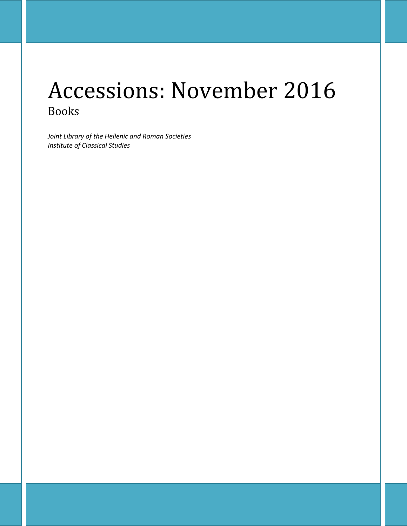# Accessions: November 2016 Books

*Joint Library of the Hellenic and Roman Societies Institute of Classical Studies*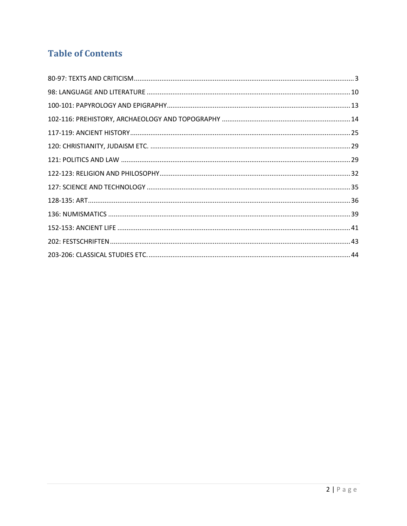# **Table of Contents**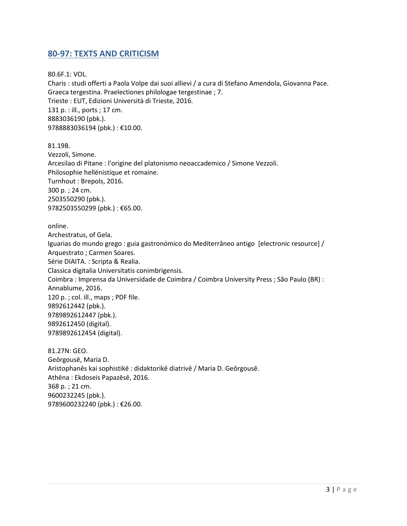## <span id="page-2-0"></span>**80-97: TEXTS AND CRITICISM**

80.6F.1: VOL. Charis : studi offerti a Paola Volpe dai suoi allievi / a cura di Stefano Amendola, Giovanna Pace. Graeca tergestina. Praelectiones philologae tergestinae ; 7. Trieste : EUT, Edizioni Università di Trieste, 2016. 131 p. : ill., ports ; 17 cm. 8883036190 (pbk.). 9788883036194 (pbk.) : €10.00.

81.19B. Vezzoli, Simone. Arcesilao di Pitane : l'origine del platonismo neoaccademico / Simone Vezzoli. Philosophie hellénistique et romaine. Turnhout : Brepols, 2016. 300 p. ; 24 cm. 2503550290 (pbk.). 9782503550299 (pbk.): €65.00.

online.

Archestratus, of Gela. Iguarias do mundo grego : guia gastronómico do Mediterrâneo antigo [electronic resource] / Arquestrato ; Carmen Soares. Série DIAITA. : Scripta & Realia. Classica digitalia Universitatis conimbrigensis. Coimbra : Imprensa da Universidade de Coimbra / Coimbra University Press ; São Paulo (BR) : Annablume, 2016. 120 p. ; col. ill., maps ; PDF file. 9892612442 (pbk.). 9789892612447 (pbk.). 9892612450 (digital). 9789892612454 (digital).

81.27N: GEO. Geōrgousē, Maria D. Aristophanēs kai sophistikē : didaktorikē diatrivē / Maria D. Geōrgousē. Athēna : Ekdoseis Papazēsē, 2016. 368 p. ; 21 cm. 9600232245 (pbk.). 9789600232240 (pbk.) : €26.00.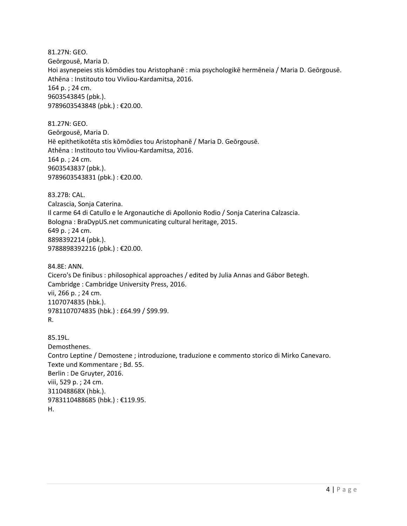81.27N: GEO. Geōrgousē, Maria D. Hoi asynepeies stis kōmōdies tou Aristophanē : mia psychologikē hermēneia / Maria D. Geōrgousē. Athēna : Institouto tou Vivliou-Kardamitsa, 2016. 164 p. ; 24 cm. 9603543845 (pbk.). 9789603543848 (pbk.) : €20.00.

81.27N: GEO. Geōrgousē, Maria D. Hē epithetikotēta stis kōmōdies tou Aristophanē / Maria D. Geōrgousē. Athēna : Institouto tou Vivliou-Kardamitsa, 2016. 164 p. ; 24 cm. 9603543837 (pbk.). 9789603543831 (pbk.) : €20.00.

83.27B: CAL. Calzascia, Sonja Caterina. Il carme 64 di Catullo e le Argonautiche di Apollonio Rodio / Sonja Caterina Calzascia. Bologna : BraDypUS.net communicating cultural heritage, 2015. 649 p. ; 24 cm. 8898392214 (pbk.). 9788898392216 (pbk.) : €20.00.

84.8E: ANN. Cicero's De finibus : philosophical approaches / edited by Julia Annas and Gábor Betegh. Cambridge : Cambridge University Press, 2016. vii, 266 p. ; 24 cm. 1107074835 (hbk.). 9781107074835 (hbk.) : £64.99 / \$99.99. R.

85.19L. Demosthenes. Contro Leptine / Demostene ; introduzione, traduzione e commento storico di Mirko Canevaro. Texte und Kommentare ; Bd. 55. Berlin : De Gruyter, 2016. viii, 529 p. ; 24 cm. 311048868X (hbk.). 9783110488685 (hbk.) : €119.95. H.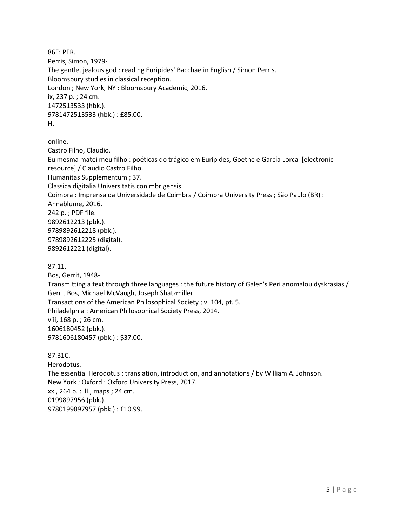86E: PER. Perris, Simon, 1979- The gentle, jealous god : reading Euripides' Bacchae in English / Simon Perris. Bloomsbury studies in classical reception. London ; New York, NY : Bloomsbury Academic, 2016. ix, 237 p. ; 24 cm. 1472513533 (hbk.). 9781472513533 (hbk.) : £85.00. H.

online.

Castro Filho, Claudio. Eu mesma matei meu filho : poéticas do trágico em Eurípides, Goethe e García Lorca [electronic resource] / Claudio Castro Filho. Humanitas Supplementum ; 37. Classica digitalia Universitatis conimbrigensis. Coimbra : Imprensa da Universidade de Coimbra / Coimbra University Press ; São Paulo (BR) : Annablume, 2016. 242 p. ; PDF file. 9892612213 (pbk.). 9789892612218 (pbk.). 9789892612225 (digital). 9892612221 (digital).

87.11.

Bos, Gerrit, 1948- Transmitting a text through three languages : the future history of Galen's Peri anomalou dyskrasias / Gerrit Bos, Michael McVaugh, Joseph Shatzmiller. Transactions of the American Philosophical Society ; v. 104, pt. 5. Philadelphia : American Philosophical Society Press, 2014. viii, 168 p. ; 26 cm. 1606180452 (pbk.). 9781606180457 (pbk.) : \$37.00.

87.31C.

Herodotus. The essential Herodotus : translation, introduction, and annotations / by William A. Johnson. New York ; Oxford : Oxford University Press, 2017. xxi, 264 p. : ill., maps ; 24 cm. 0199897956 (pbk.). 9780199897957 (pbk.) : £10.99.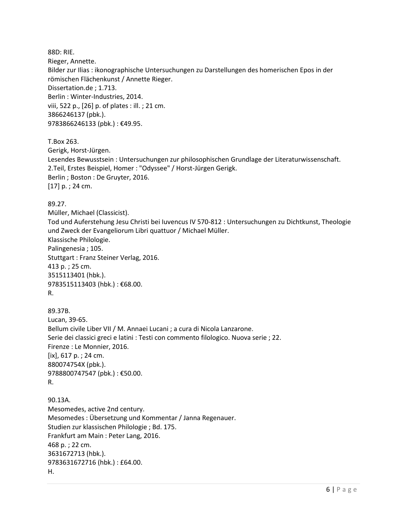88D: RIE. Rieger, Annette. Bilder zur Ilias : ikonographische Untersuchungen zu Darstellungen des homerischen Epos in der römischen Flächenkunst / Annette Rieger. Dissertation.de ; 1.713. Berlin : Winter-Industries, 2014. viii, 522 p., [26] p. of plates : ill. ; 21 cm. 3866246137 (pbk.). 9783866246133 (pbk.) : €49.95. T.Box 263. Gerigk, Horst-Jürgen. Lesendes Bewusstsein : Untersuchungen zur philosophischen Grundlage der Literaturwissenschaft. 2.Teil, Erstes Beispiel, Homer : "Odyssee" / Horst-Jürgen Gerigk. Berlin ; Boston : De Gruyter, 2016. [17] p. ; 24 cm. 89.27. Müller, Michael (Classicist). Tod und Auferstehung Jesu Christi bei Iuvencus IV 570-812 : Untersuchungen zu Dichtkunst, Theologie und Zweck der Evangeliorum Libri quattuor / Michael Müller. Klassische Philologie. Palingenesia ; 105. Stuttgart : Franz Steiner Verlag, 2016. 413 p. ; 25 cm. 3515113401 (hbk.). 9783515113403 (hbk.) : €68.00. R. 89.37B. Lucan, 39-65. Bellum civile Liber VII / M. Annaei Lucani ; a cura di Nicola Lanzarone. Serie dei classici greci e latini : Testi con commento filologico. Nuova serie ; 22. Firenze : Le Monnier, 2016. [ix], 617 p. ; 24 cm. 880074754X (pbk.). 9788800747547 (pbk.) : €50.00. R. 90.13A. Mesomedes, active 2nd century. Mesomedes : Übersetzung und Kommentar / Janna Regenauer. Studien zur klassischen Philologie ; Bd. 175. Frankfurt am Main : Peter Lang, 2016. 468 p. ; 22 cm. 3631672713 (hbk.). 9783631672716 (hbk.) : £64.00.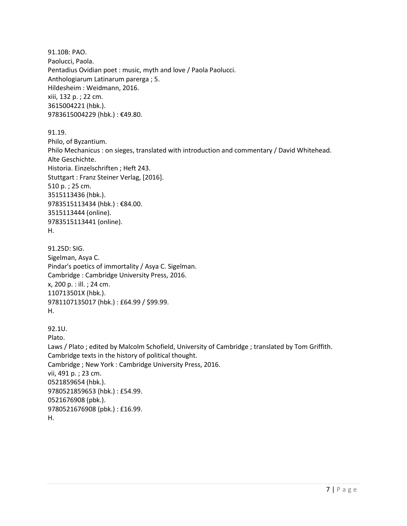91.10B: PAO. Paolucci, Paola. Pentadius Ovidian poet : music, myth and love / Paola Paolucci. Anthologiarum Latinarum parerga ; 5. Hildesheim : Weidmann, 2016. xiii, 132 p. ; 22 cm. 3615004221 (hbk.). 9783615004229 (hbk.) : €49.80.

91.19. Philo, of Byzantium. Philo Mechanicus : on sieges, translated with introduction and commentary / David Whitehead. Alte Geschichte. Historia. Einzelschriften ; Heft 243. Stuttgart : Franz Steiner Verlag, [2016]. 510 p. ; 25 cm. 3515113436 (hbk.). 9783515113434 (hbk.) : €84.00. 3515113444 (online). 9783515113441 (online). H.

91.25D: SIG. Sigelman, Asya C. Pindar's poetics of immortality / Asya C. Sigelman. Cambridge : Cambridge University Press, 2016. x, 200 p. : ill. ; 24 cm. 110713501X (hbk.). 9781107135017 (hbk.) : £64.99 / \$99.99. H.

92.1U. Plato. Laws / Plato ; edited by Malcolm Schofield, University of Cambridge ; translated by Tom Griffith. Cambridge texts in the history of political thought. Cambridge ; New York : Cambridge University Press, 2016. vii, 491 p. ; 23 cm. 0521859654 (hbk.). 9780521859653 (hbk.) : £54.99. 0521676908 (pbk.). 9780521676908 (pbk.) : £16.99. H.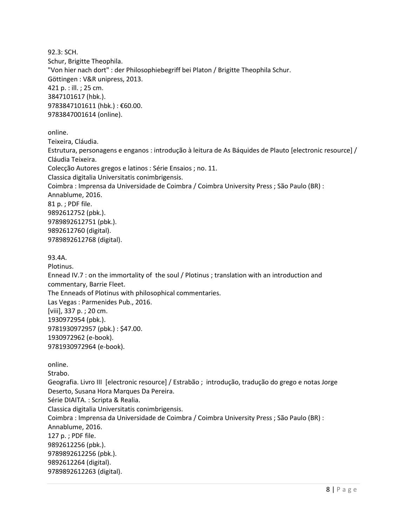92.3: SCH. Schur, Brigitte Theophila. "Von hier nach dort" : der Philosophiebegriff bei Platon / Brigitte Theophila Schur. Göttingen : V&R unipress, 2013. 421 p. : ill. ; 25 cm. 3847101617 (hbk.). 9783847101611 (hbk.) : €60.00. 9783847001614 (online). online. Teixeira, Cláudia. Estrutura, personagens e enganos : introdução à leitura de As Báquides de Plauto [electronic resource] / Cláudia Teixeira. Colecção Autores gregos e latinos : Série Ensaios ; no. 11. Classica digitalia Universitatis conimbrigensis. Coimbra : Imprensa da Universidade de Coimbra / Coimbra University Press ; São Paulo (BR) : Annablume, 2016. 81 p. ; PDF file. 9892612752 (pbk.). 9789892612751 (pbk.). 9892612760 (digital). 9789892612768 (digital). 93.4A. Plotinus. Ennead IV.7 : on the immortality of the soul / Plotinus ; translation with an introduction and commentary, Barrie Fleet. The Enneads of Plotinus with philosophical commentaries. Las Vegas : Parmenides Pub., 2016. [viii], 337 p. ; 20 cm. 1930972954 (pbk.). 9781930972957 (pbk.) : \$47.00. 1930972962 (e-book). 9781930972964 (e-book). online. Strabo. Geografia. Livro III [electronic resource] / Estrabão ; introdução, tradução do grego e notas Jorge Deserto, Susana Hora Marques Da Pereira. Série DIAITA. : Scripta & Realia. Classica digitalia Universitatis conimbrigensis.

Coimbra : Imprensa da Universidade de Coimbra / Coimbra University Press ; São Paulo (BR) : Annablume, 2016.

127 p. ; PDF file. 9892612256 (pbk.). 9789892612256 (pbk.). 9892612264 (digital). 9789892612263 (digital).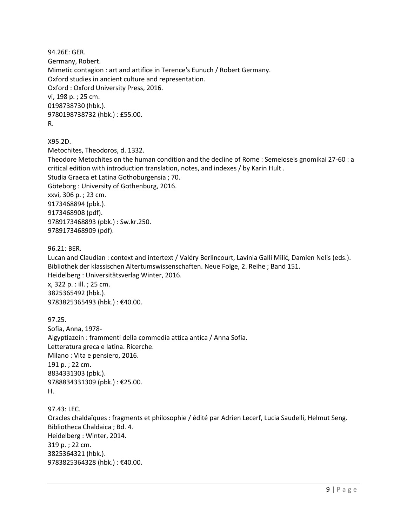94.26E: GER. Germany, Robert. Mimetic contagion : art and artifice in Terence's Eunuch / Robert Germany. Oxford studies in ancient culture and representation. Oxford : Oxford University Press, 2016. vi, 198 p. ; 25 cm. 0198738730 (hbk.). 9780198738732 (hbk.) : £55.00. R.

X95.2D.

Metochites, Theodoros, d. 1332. Theodore Metochites on the human condition and the decline of Rome : Semeioseis gnomikai 27-60 : a critical edition with introduction translation, notes, and indexes / by Karin Hult . Studia Graeca et Latina Gothoburgensia ; 70. Göteborg : University of Gothenburg, 2016. xxvi, 306 p. ; 23 cm. 9173468894 (pbk.). 9173468908 (pdf). 9789173468893 (pbk.) : Sw.kr.250. 9789173468909 (pdf).

96.21: BER.

Lucan and Claudian : context and intertext / Valéry Berlincourt, Lavinia Galli Milić, Damien Nelis (eds.). Bibliothek der klassischen Altertumswissenschaften. Neue Folge, 2. Reihe ; Band 151. Heidelberg : Universitätsverlag Winter, 2016. x, 322 p. : ill. ; 25 cm. 3825365492 (hbk.). 9783825365493 (hbk.) : €40.00.

97.25. Sofia, Anna, 1978- Aigyptiazein : frammenti della commedia attica antica / Anna Sofia. Letteratura greca e latina. Ricerche. Milano : Vita e pensiero, 2016. 191 p. ; 22 cm. 8834331303 (pbk.). 9788834331309 (pbk.) : €25.00. H.

97.43: LEC. Oracles chaldaïques : fragments et philosophie / édité par Adrien Lecerf, Lucia Saudelli, Helmut Seng. Bibliotheca Chaldaica ; Bd. 4. Heidelberg : Winter, 2014. 319 p. ; 22 cm. 3825364321 (hbk.). 9783825364328 (hbk.) : €40.00.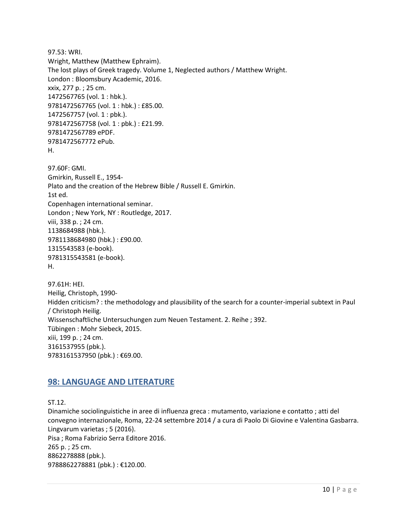97.53: WRI. Wright, Matthew (Matthew Ephraim). The lost plays of Greek tragedy. Volume 1, Neglected authors / Matthew Wright. London : Bloomsbury Academic, 2016. xxix, 277 p. ; 25 cm. 1472567765 (vol. 1 : hbk.). 9781472567765 (vol. 1 : hbk.) : £85.00. 1472567757 (vol. 1 : pbk.). 9781472567758 (vol. 1 : pbk.) : £21.99. 9781472567789 ePDF. 9781472567772 ePub. H.

97.60F: GMI. Gmirkin, Russell E., 1954- Plato and the creation of the Hebrew Bible / Russell E. Gmirkin. 1st ed. Copenhagen international seminar. London ; New York, NY : Routledge, 2017. viii, 338 p. ; 24 cm. 1138684988 (hbk.). 9781138684980 (hbk.) : £90.00. 1315543583 (e-book). 9781315543581 (e-book). H.

97.61H: HEI. Heilig, Christoph, 1990- Hidden criticism? : the methodology and plausibility of the search for a counter-imperial subtext in Paul / Christoph Heilig. Wissenschaftliche Untersuchungen zum Neuen Testament. 2. Reihe ; 392. Tübingen : Mohr Siebeck, 2015. xiii, 199 p. ; 24 cm. 3161537955 (pbk.). 9783161537950 (pbk.) : €69.00.

## <span id="page-9-0"></span>**98: LANGUAGE AND LITERATURE**

ST.12. Dinamiche sociolinguistiche in aree di influenza greca : mutamento, variazione e contatto ; atti del convegno internazionale, Roma, 22-24 settembre 2014 / a cura di Paolo Di Giovine e Valentina Gasbarra. Lingvarum varietas ; 5 (2016). Pisa ; Roma Fabrizio Serra Editore 2016. 265 p. ; 25 cm. 8862278888 (pbk.). 9788862278881 (pbk.) : €120.00.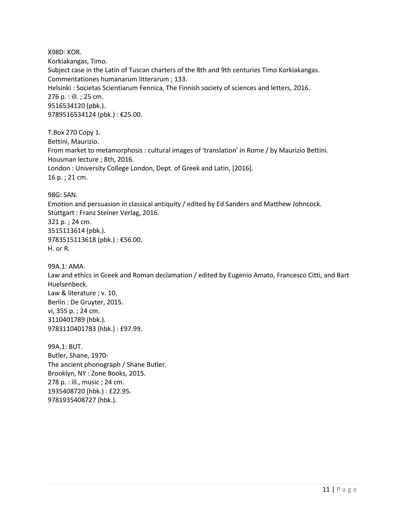X98D: KOR. Korkiakangas, Timo. Subject case in the Latin of Tuscan charters of the 8th and 9th centuries Timo Korkiakangas. Commentationes humanarum litterarum ; 133. Helsinki : Societas Scientiarum Fennica, The Finnish society of sciences and letters, 2016. 276 p. : ill. ; 25 cm. 9516534120 (pbk.). 9789516534124 (pbk.) : €25.00.

T.Box 270 Copy 1. Bettini, Maurizio. From market to metamorphosis : cultural images of 'translation' in Rome / by Maurizio Bettini. Housman lecture ; 8th, 2016. London : University College London, Dept. of Greek and Latin, [2016]. 16 p. ; 21 cm.

98G: SAN.

Emotion and persuasion in classical antiquity / edited by Ed Sanders and Matthew Johncock. Stuttgart : Franz Steiner Verlag, 2016. 321 p. ; 24 cm. 3515113614 (pbk.). 9783515113618 (pbk.) : €56.00. H. or R.

99A.1: AMA. Law and ethics in Greek and Roman declamation / edited by Eugenio Amato, Francesco Citti, and Bart Huelsenbeck. Law & literature ; v. 10. Berlin : De Gruyter, 2015. vi, 355 p. ; 24 cm. 3110401789 (hbk.). 9783110401783 (hbk.) : £97.99.

99A.1: BUT. Butler, Shane, 1970- The ancient phonograph / Shane Butler. Brooklyn, NY : Zone Books, 2015. 278 p. : ill., music ; 24 cm. 1935408720 (hbk.) : £22.95. 9781935408727 (hbk.).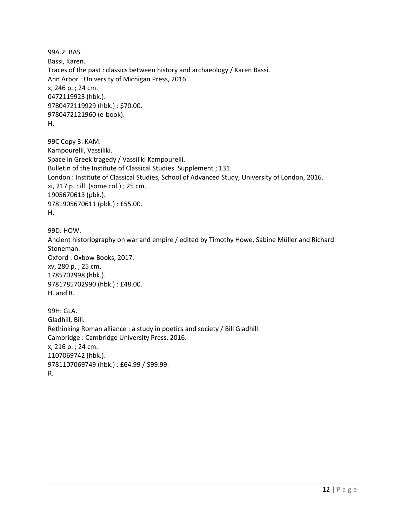99A.2: BAS. Bassi, Karen. Traces of the past : classics between history and archaeology / Karen Bassi. Ann Arbor : University of Michigan Press, 2016. x, 246 p. ; 24 cm. 0472119923 (hbk.). 9780472119929 (hbk.) : \$70.00. 9780472121960 (e-book). H.

99C Copy 3: KAM. Kampourelli, Vassiliki. Space in Greek tragedy / Vassiliki Kampourelli. Bulletin of the Institute of Classical Studies. Supplement ; 131. London : Institute of Classical Studies, School of Advanced Study, University of London, 2016. xi, 217 p. : ill. (some col.) ; 25 cm. 1905670613 (pbk.). 9781905670611 (pbk.) : £55.00. H.

99D: HOW. Ancient historiography on war and empire / edited by Timothy Howe, Sabine Müller and Richard Stoneman. Oxford : Oxbow Books, 2017. xv, 280 p. ; 25 cm. 1785702998 (hbk.). 9781785702990 (hbk.) : £48.00. H. and R.

99H: GLA. Gladhill, Bill. Rethinking Roman alliance : a study in poetics and society / Bill Gladhill. Cambridge : Cambridge University Press, 2016. x, 216 p. ; 24 cm. 1107069742 (hbk.). 9781107069749 (hbk.) : £64.99 / \$99.99. R.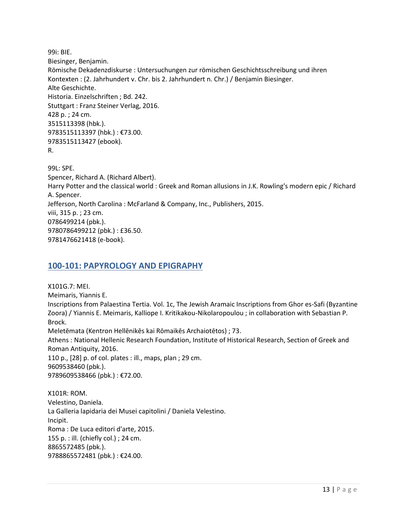99i: BIE. Biesinger, Benjamin. Römische Dekadenzdiskurse : Untersuchungen zur römischen Geschichtsschreibung und ihren Kontexten : (2. Jahrhundert v. Chr. bis 2. Jahrhundert n. Chr.) / Benjamin Biesinger. Alte Geschichte. Historia. Einzelschriften ; Bd. 242. Stuttgart : Franz Steiner Verlag, 2016. 428 p. ; 24 cm. 3515113398 (hbk.). 9783515113397 (hbk.) : €73.00. 9783515113427 (ebook). R. 99L: SPE. Spencer, Richard A. (Richard Albert). Harry Potter and the classical world : Greek and Roman allusions in J.K. Rowling's modern epic / Richard A. Spencer.

Jefferson, North Carolina : McFarland & Company, Inc., Publishers, 2015.

viii, 315 p. ; 23 cm. 0786499214 (pbk.). 9780786499212 (pbk.) : £36.50.

<span id="page-12-0"></span>9781476621418 (e-book).

# **100-101: PAPYROLOGY AND EPIGRAPHY**

X101G.7: MEI. Meimaris, Yiannis E. Inscriptions from Palaestina Tertia. Vol. 1c, The Jewish Aramaic Inscriptions from Ghor es-Safi (Byzantine Zoora) / Yiannis E. Meimaris, Kalliope I. Kritikakou-Nikolaropoulou ; in collaboration with Sebastian P. Brock. Meletēmata (Kentron Hellēnikēs kai Rōmaikēs Archaiotētos) ; 73. Athens : National Hellenic Research Foundation, Institute of Historical Research, Section of Greek and Roman Antiquity, 2016. 110 p., [28] p. of col. plates : ill., maps, plan ; 29 cm. 9609538460 (pbk.). 9789609538466 (pbk.) : €72.00.

X101R: ROM. Velestino, Daniela. La Galleria lapidaria dei Musei capitolini / Daniela Velestino. Incipit. Roma : De Luca editori d'arte, 2015. 155 p. : ill. (chiefly col.) ; 24 cm. 8865572485 (pbk.). 9788865572481 (pbk.) : €24.00.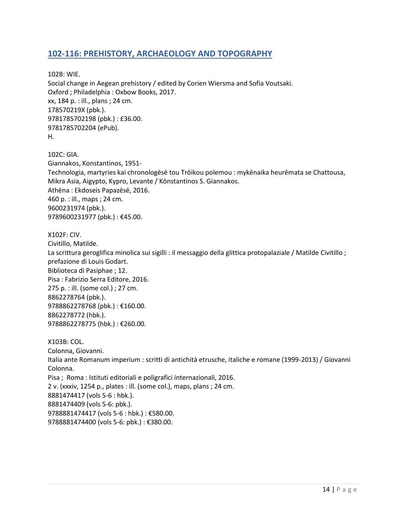## <span id="page-13-0"></span>**102-116: PREHISTORY, ARCHAEOLOGY AND TOPOGRAPHY**

102B: WIE. Social change in Aegean prehistory / edited by Corien Wiersma and Sofia Voutsaki. Oxford ; Philadelphia : Oxbow Books, 2017. xx, 184 p. : ill., plans ; 24 cm. 178570219X (pbk.). 9781785702198 (pbk.) : £36.00. 9781785702204 (ePub). H.

102C: GIA. Giannakos, Konstantinos, 1951- Technologia, martyries kai chronologēsē tou Trōikou polemou : mykēnaika heurēmata se Chattousa, Mikra Asia, Aigypto, Kypro, Levante / Kōnstantinos S. Giannakos. Athēna : Ekdoseis Papazēsē, 2016. 460 p. : ill., maps ; 24 cm. 9600231974 (pbk.). 9789600231977 (pbk.): €45.00.

X102F: CIV.

Civitillo, Matilde. La scrittura geroglifica minolica sui sigilli : il messaggio della glittica protopalaziale / Matilde Civitillo ; prefazione di Louis Godart. Biblioteca di Pasiphae ; 12. Pisa : Fabrizio Serra Editore, 2016. 275 p. : ill. (some col.) ; 27 cm. 8862278764 (pbk.). 9788862278768 (pbk.): €160.00. 8862278772 (hbk.). 9788862278775 (hbk.) : €260.00.

X103B: COL. Colonna, Giovanni. Italia ante Romanum imperium : scritti di antichità etrusche, italiche e romane (1999-2013) / Giovanni Colonna. Pisa ; Roma : Istituti editoriali e poligrafici internazionali, 2016. 2 v. (xxxiv, 1254 p., plates : ill. (some col.), maps, plans ; 24 cm. 8881474417 (vols 5-6 : hbk.). 8881474409 (vols 5-6: pbk.). 9788881474417 (vols 5-6 : hbk.) : €580.00. 9788881474400 (vols 5-6: pbk.) : €380.00.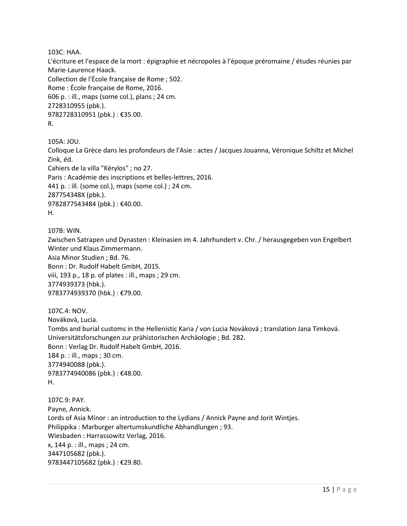103C: HAA.

L'écriture et l'espace de la mort : épigraphie et nécropoles à l'époque préromaine / études réunies par Marie-Laurence Haack. Collection de l'École française de Rome ; 502. Rome : École française de Rome, 2016. 606 p. : ill., maps (some col.), plans ; 24 cm. 2728310955 (pbk.). 9782728310951 (pbk.) : €35.00. R.

105A: JOU.

Colloque La Grèce dans les profondeurs de l'Asie : actes / Jacques Jouanna, Véronique Schiltz et Michel Zink, éd. Cahiers de la villa "Kérylos" ; no 27. Paris : Académie des inscriptions et belles-lettres, 2016. 441 p. : ill. (some col.), maps (some col.) ; 24 cm. 287754348X (pbk.).

9782877543484 (pbk.) : €40.00. H.

107B: WIN.

Zwischen Satrapen und Dynasten : Kleinasien im 4. Jahrhundert v. Chr. / herausgegeben von Engelbert Winter und Klaus Zimmermann. Asia Minor Studien ; Bd. 76. Bonn : Dr. Rudolf Habelt GmbH, 2015. viii, 193 p., 18 p. of plates : ill., maps ; 29 cm. 3774939373 (hbk.). 9783774939370 (hbk.) : €79.00.

107C.4: NOV. Nováková, Lucia. Tombs and burial customs in the Hellenistic Karia / von Lucia Nováková ; translation Jana Timková. Universitätsforschungen zur prähistorischen Archäologie ; Bd. 282. Bonn : Verlag Dr. Rudolf Habelt GmbH, 2016. 184 p. : ill., maps ; 30 cm. 3774940088 (pbk.). 9783774940086 (pbk.): €48.00. H.

107C.9: PAY. Payne, Annick. Lords of Asia Minor : an introduction to the Lydians / Annick Payne and Jorit Wintjes. Philippika : Marburger altertumskundliche Abhandlungen ; 93. Wiesbaden : Harrassowitz Verlag, 2016. x, 144 p. : ill., maps ; 24 cm. 3447105682 (pbk.). 9783447105682 (pbk.) : €29.80.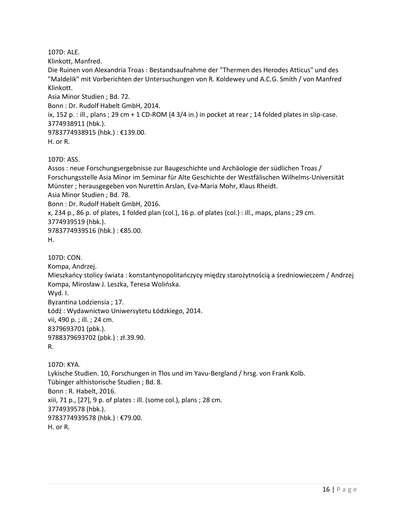107D: ALE.

Klinkott, Manfred.

Die Ruinen von Alexandria Troas : Bestandsaufnahme der "Thermen des Herodes Atticus" und des "Maldelik" mit Vorberichten der Untersuchungen von R. Koldewey und A.C.G. Smith / von Manfred Klinkott.

Asia Minor Studien ; Bd. 72.

Bonn : Dr. Rudolf Habelt GmbH, 2014.

ix, 152 p. : ill., plans ; 29 cm + 1 CD-ROM (4 3/4 in.) in pocket at rear ; 14 folded plates in slip-case. 3774938911 (hbk.).

9783774938915 (hbk.) : €139.00.

H. or R.

107D: ASS.

Assos : neue Forschungsergebnisse zur Baugeschichte und Archäologie der südlichen Troas / Forschungsstelle Asia Minor im Seminar für Alte Geschichte der Westfälischen Wilhelms-Universität Münster ; herausgegeben von Nurettin Arslan, Eva-Maria Mohr, Klaus Rheidt. Asia Minor Studien ; Bd. 78. Bonn : Dr. Rudolf Habelt GmbH, 2016. x, 234 p., 86 p. of plates, 1 folded plan (col.), 16 p. of plates (col.) : ill., maps, plans ; 29 cm. 3774939519 (hbk.). 9783774939516 (hbk.) : €85.00. H. 107D: CON. Kompa, Andrzej. Mieszkańcy stolicy świata : konstantynopolitańczycy między starożytnością a średniowieczem / Andrzej Kompa, Mirosław J. Leszka, Teresa Wolińska. Wyd. I. Byzantina Lodziensia ; 17. Łódź : Wydawnictwo Uniwersytetu Łódzkiego, 2014. vii, 490 p. ; ill. ; 24 cm. 8379693701 (pbk.). 9788379693702 (pbk.) : zł.39.90.

R.

107D: KYA. Lykische Studien. 10, Forschungen in Tlos und im Yavu-Bergland / hrsg. von Frank Kolb. Tübinger althistorische Studien ; Bd. 8. Bonn : R. Habelt, 2016. xiii, 71 p., [27], 9 p. of plates : ill. (some col.), plans ; 28 cm. 3774939578 (hbk.). 9783774939578 (hbk.) : €79.00. H. or R.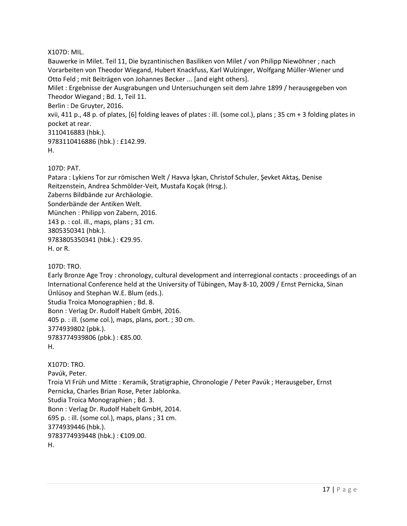#### X107D: MIL.

Bauwerke in Milet. Teil 11, Die byzantinischen Basiliken von Milet / von Philipp Niewöhner ; nach Vorarbeiten von Theodor Wiegand, Hubert Knackfuss, Karl Wulzinger, Wolfgang Müller-Wiener und Otto Feld ; mit Beiträgen von Johannes Becker ... [and eight others].

Milet : Ergebnisse der Ausgrabungen und Untersuchungen seit dem Jahre 1899 / herausgegeben von Theodor Wiegand ; Bd. 1, Teil 11.

Berlin : De Gruyter, 2016.

xvii, 411 p., 48 p. of plates, [6] folding leaves of plates : ill. (some col.), plans ; 35 cm + 3 folding plates in pocket at rear.

3110416883 (hbk.).

9783110416886 (hbk.) : £142.99.

H.

107D: PAT.

Patara : Lykiens Tor zur römischen Welt / Havva İşkan, Christof Schuler, Şevket Aktaş, Denise Reitzenstein, Andrea Schmölder-Veit, Mustafa Koçak (Hrsg.). Zaberns Bildbände zur Archäologie. Sonderbände der Antiken Welt. München : Philipp von Zabern, 2016. 143 p. : col. ill., maps, plans ; 31 cm. 3805350341 (hbk.). 9783805350341 (hbk.) : €29.95. H. or R.

107D: TRO.

Early Bronze Age Troy : chronology, cultural development and interregional contacts : proceedings of an International Conference held at the University of Tübingen, May 8-10, 2009 / Ernst Pernicka, Sinan Ünlüsoy and Stephan W.E. Blum (eds.). Studia Troica Monographien ; Bd. 8. Bonn : Verlag Dr. Rudolf Habelt GmbH, 2016. 405 p. : ill. (some col.), maps, plans, port. ; 30 cm. 3774939802 (pbk.). 9783774939806 (pbk.): €85.00. H.

X107D: TRO. Pavúk, Peter. Troia VI Früh und Mitte : Keramik, Stratigraphie, Chronologie / Peter Pavúk ; Herausgeber, Ernst Pernicka, Charles Brian Rose, Peter Jablonka. Studia Troica Monographien ; Bd. 3. Bonn : Verlag Dr. Rudolf Habelt GmbH, 2014. 695 p. : ill. (some col.), maps, plans ; 31 cm. 3774939446 (hbk.). 9783774939448 (hbk.) : €109.00. H.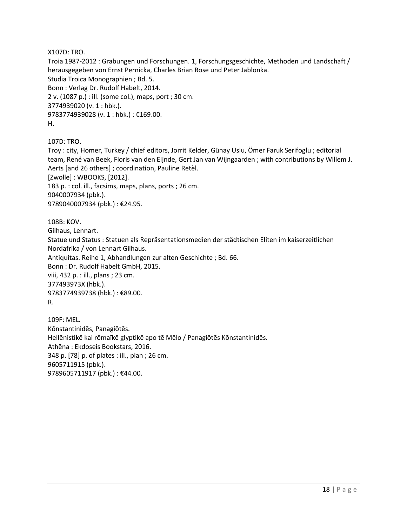X107D: TRO.

Troia 1987-2012 : Grabungen und Forschungen. 1, Forschungsgeschichte, Methoden und Landschaft / herausgegeben von Ernst Pernicka, Charles Brian Rose und Peter Jablonka. Studia Troica Monographien ; Bd. 5. Bonn : Verlag Dr. Rudolf Habelt, 2014. 2 v. (1087 p.) : ill. (some col.), maps, port ; 30 cm. 3774939020 (v. 1 : hbk.). 9783774939028 (v. 1 : hbk.) : €169.00. H.

107D: TRO.

Troy : city, Homer, Turkey / chief editors, Jorrit Kelder, Günay Uslu, Ömer Faruk Serifoglu ; editorial team, René van Beek, Floris van den Eijnde, Gert Jan van Wijngaarden ; with contributions by Willem J. Aerts [and 26 others] ; coordination, Pauline Retèl. [Zwolle] : WBOOKS, [2012]. 183 p. : col. ill., facsims, maps, plans, ports ; 26 cm. 9040007934 (pbk.). 9789040007934 (pbk.) : €24.95.

108B: KOV.

Gilhaus, Lennart. Statue und Status : Statuen als Repräsentationsmedien der städtischen Eliten im kaiserzeitlichen Nordafrika / von Lennart Gilhaus. Antiquitas. Reihe 1, Abhandlungen zur alten Geschichte ; Bd. 66. Bonn : Dr. Rudolf Habelt GmbH, 2015. viii, 432 p. : ill., plans ; 23 cm. 377493973X (hbk.). 9783774939738 (hbk.) : €89.00. R.

109F: MEL. Kōnstantinidēs, Panagiōtēs. Hellēnistikē kai rōmaïkē glyptikē apo tē Mēlo / Panagiōtēs Kōnstantinidēs. Athēna : Ekdoseis Bookstars, 2016. 348 p. [78] p. of plates : ill., plan ; 26 cm. 9605711915 (pbk.). 9789605711917 (pbk.): €44.00.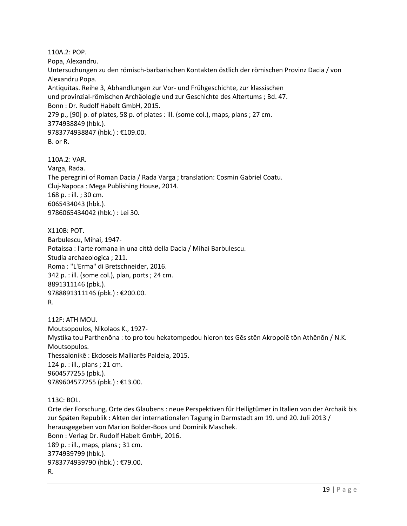110A.2: POP. Popa, Alexandru. Untersuchungen zu den römisch-barbarischen Kontakten östlich der römischen Provinz Dacia / von Alexandru Popa. Antiquitas. Reihe 3, Abhandlungen zur Vor- und Frühgeschichte, zur klassischen und provinzial-römischen Archäologie und zur Geschichte des Altertums ; Bd. 47. Bonn : Dr. Rudolf Habelt GmbH, 2015. 279 p., [90] p. of plates, 58 p. of plates : ill. (some col.), maps, plans ; 27 cm. 3774938849 (hbk.). 9783774938847 (hbk.) : €109.00. B. or R.

110A.2: VAR. Varga, Rada. The peregrini of Roman Dacia / Rada Varga ; translation: Cosmin Gabriel Coatu. Cluj-Napoca : Mega Publishing House, 2014. 168 p. : ill. ; 30 cm. 6065434043 (hbk.). 9786065434042 (hbk.) : Lei 30.

X110B: POT. Barbulescu, Mihai, 1947- Potaissa : l'arte romana in una città della Dacia / Mihai Barbulescu. Studia archaeologica ; 211. Roma : "L'Erma" di Bretschneider, 2016. 342 p. : ill. (some col.), plan, ports ; 24 cm. 8891311146 (pbk.). 9788891311146 (pbk.) : €200.00. R.

112F: ATH MOU. Moutsopoulos, Nikolaos K., 1927- Mystika tou Parthenōna : to pro tou hekatompedou hieron tes Gēs stēn Akropolē tōn Athēnōn / N.K. Moutsopulos. Thessalonikē : Ekdoseis Malliarēs Paideia, 2015. 124 p. : ill., plans ; 21 cm. 9604577255 (pbk.). 9789604577255 (pbk.) : €13.00.

113C: BOL.

Orte der Forschung, Orte des Glaubens : neue Perspektiven für Heiligtümer in Italien von der Archaik bis zur Späten Republik : Akten der internationalen Tagung in Darmstadt am 19. und 20. Juli 2013 / herausgegeben von Marion Bolder-Boos und Dominik Maschek. Bonn : Verlag Dr. Rudolf Habelt GmbH, 2016. 189 p. : ill., maps, plans ; 31 cm. 3774939799 (hbk.). 9783774939790 (hbk.) : €79.00. R.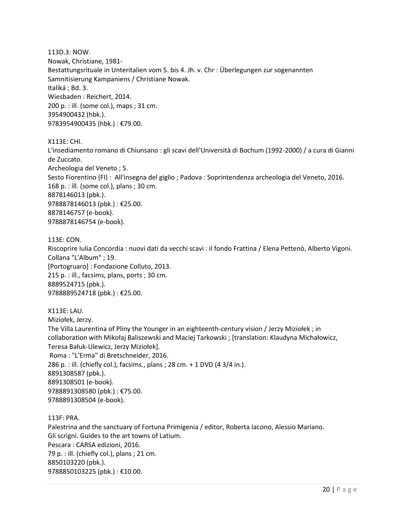113D.3: NOW. Nowak, Christiane, 1981- Bestattungsrituale in Unteritalien vom 5. bis 4. Jh. v. Chr : Überlegungen zur sogenannten Samnitisierung Kampaniens / Christiane Nowak. Italiká ; Bd. 3. Wiesbaden : Reichert, 2014. 200 p. : ill. (some col.), maps ; 31 cm. 3954900432 (hbk.). 9783954900435 (hbk.) : €79.00.

X113E: CHI.

L'insediamento romano di Chiunsano : gli scavi dell'Università di Bochum (1992-2000) / a cura di Gianni de Zuccato. Archeologia del Veneto ; 5. Sesto Fiorentino (FI) : All'insegna del giglio ; Padova : Soprintendenza archeologia del Veneto, 2016. 168 p. : ill. (some col.), plans ; 30 cm. 8878146013 (pbk.). 9788878146013 (pbk.) : €25.00. 8878146757 (e-book). 9788878146754 (e-book).

113E: CON. Riscoprire Iulia Concordia : nuovi dati da vecchi scavi : il fondo Frattina / Elena Pettenò, Alberto Vigoni. Collana "L'Album" ; 19. [Portogruaro] : Fondazione Colluto, 2013. 215 p. : ill., facsims, plans, ports ; 30 cm. 8889524715 (pbk.). 9788889524718 (pbk.) : €25.00.

X113E: LAU. Miziołek, Jerzy. The Villa Laurentina of Pliny the Younger in an eighteenth-century vision / Jerzy Miziołek ; in collaboration with Mikołaj Baliszewski and Maciej Tarkowski ; [translation: Klaudyna Michałowicz, Teresa Bałuk-Ulewicz, Jerzy Miziołek]. Roma : "L'Erma" di Bretschneider, 2016. 286 p. : ill. (chiefly col.), facsims., plans ; 28 cm. + 1 DVD (4 3/4 in.). 8891308587 (pbk.). 8891308501 (e-book). 9788891308580 (pbk.) : €75.00. 9788891308504 (e-book).

113F: PRA.

Palestrina and the sanctuary of Fortuna Primigenia / editor, Roberta Iacono, Alessio Mariano. Gli scrigni. Guides to the art towns of Latium. Pescara : CARSA edizioni, 2016. 79 p. : ill. (chiefly col.), plans ; 21 cm. 8850103220 (pbk.). 9788850103225 (pbk.) : €10.00.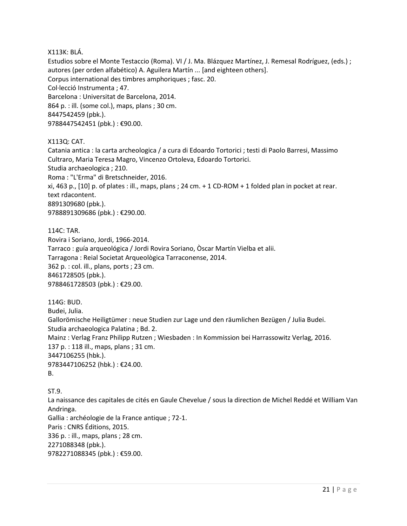#### X113K: BLÁ.

Estudios sobre el Monte Testaccio (Roma). VI / J. Ma. Blázquez Martínez, J. Remesal Rodríguez, (eds.) ; autores (per orden alfabético) A. Aguilera Martín ... [and eighteen others]. Corpus international des timbres amphoriques ; fasc. 20. Col·lecció Instrumenta ; 47. Barcelona : Universitat de Barcelona, 2014. 864 p. : ill. (some col.), maps, plans ; 30 cm. 8447542459 (pbk.). 9788447542451 (pbk.) : €90.00.

X113Q: CAT.

Catania antica : la carta archeologica / a cura di Edoardo Tortorici ; testi di Paolo Barresi, Massimo Cultraro, Maria Teresa Magro, Vincenzo Ortoleva, Edoardo Tortorici. Studia archaeologica ; 210. Roma : "L'Erma" di Bretschneider, 2016. xi, 463 p., [10] p. of plates : ill., maps, plans ; 24 cm. + 1 CD-ROM + 1 folded plan in pocket at rear. text rdacontent. 8891309680 (pbk.). 9788891309686 (pbk.) : €290.00.

114C: TAR. Rovira i Soriano, Jordi, 1966-2014. Tarraco : guía arqueológica / Jordi Rovira Soriano, Òscar Martín Vielba et alii. Tarragona : Reial Societat Arqueològica Tarraconense, 2014. 362 p. : col. ill., plans, ports ; 23 cm. 8461728505 (pbk.). 9788461728503 (pbk.) : €29.00.

114G: BUD. Budei, Julia. Gallorömische Heiligtümer : neue Studien zur Lage und den räumlichen Bezügen / Julia Budei. Studia archaeologica Palatina ; Bd. 2. Mainz : Verlag Franz Philipp Rutzen ; Wiesbaden : In Kommission bei Harrassowitz Verlag, 2016. 137 p. : 118 ill., maps, plans ; 31 cm. 3447106255 (hbk.). 9783447106252 (hbk.) : €24.00. B.

ST.9. La naissance des capitales de cités en Gaule Chevelue / sous la direction de Michel Reddé et William Van Andringa. Gallia : archéologie de la France antique ; 72-1. Paris : CNRS Éditions, 2015. 336 p. : ill., maps, plans ; 28 cm. 2271088348 (pbk.). 9782271088345 (pbk.) : €59.00.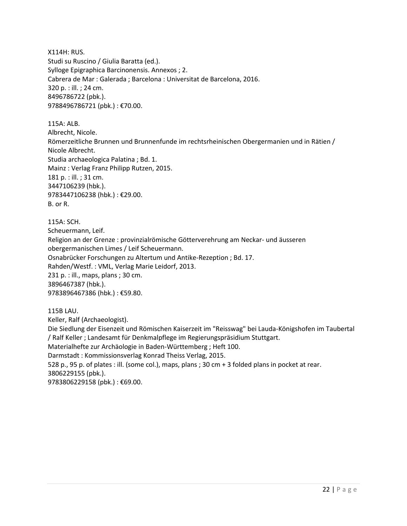X114H: RUS. Studi su Ruscino / Giulia Baratta (ed.). Sylloge Epigraphica Barcinonensis. Annexos ; 2. Cabrera de Mar : Galerada ; Barcelona : Universitat de Barcelona, 2016. 320 p. : ill. ; 24 cm. 8496786722 (pbk.). 9788496786721 (pbk.) : €70.00.

115A: ALB. Albrecht, Nicole. Römerzeitliche Brunnen und Brunnenfunde im rechtsrheinischen Obergermanien und in Rätien / Nicole Albrecht. Studia archaeologica Palatina ; Bd. 1. Mainz : Verlag Franz Philipp Rutzen, 2015. 181 p. : ill. ; 31 cm. 3447106239 (hbk.). 9783447106238 (hbk.) : €29.00. B. or R.

115A: SCH.

Scheuermann, Leif. Religion an der Grenze : provinzialrömische Götterverehrung am Neckar- und äusseren obergermanischen Limes / Leif Scheuermann. Osnabrücker Forschungen zu Altertum und Antike-Rezeption ; Bd. 17. Rahden/Westf. : VML, Verlag Marie Leidorf, 2013. 231 p. : ill., maps, plans ; 30 cm. 3896467387 (hbk.). 9783896467386 (hbk.) : €59.80.

115B LAU. Keller, Ralf (Archaeologist). Die Siedlung der Eisenzeit und Römischen Kaiserzeit im "Reisswag" bei Lauda-Königshofen im Taubertal / Ralf Keller ; Landesamt für Denkmalpflege im Regierungspräsidium Stuttgart. Materialhefte zur Archäologie in Baden-Württemberg ; Heft 100. Darmstadt : Kommissionsverlag Konrad Theiss Verlag, 2015. 528 p., 95 p. of plates : ill. (some col.), maps, plans ; 30 cm + 3 folded plans in pocket at rear. 3806229155 (pbk.). 9783806229158 (pbk.): €69.00.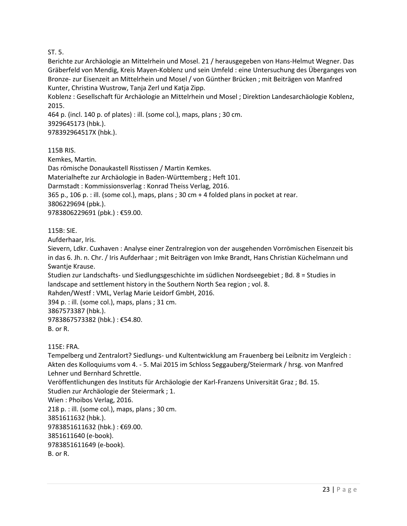### ST. 5.

Berichte zur Archäologie an Mittelrhein und Mosel. 21 / herausgegeben von Hans-Helmut Wegner. Das Gräberfeld von Mendig, Kreis Mayen-Koblenz und sein Umfeld : eine Untersuchung des Überganges von Bronze- zur Eisenzeit an Mittelrhein und Mosel / von Günther Brücken ; mit Beiträgen von Manfred Kunter, Christina Wustrow, Tanja Zerl und Katja Zipp.

Koblenz : Gesellschaft für Archäologie an Mittelrhein und Mosel ; Direktion Landesarchäologie Koblenz, 2015.

464 p. (incl. 140 p. of plates) : ill. (some col.), maps, plans ; 30 cm. 3929645173 (hbk.). 978392964517X (hbk.).

115B RIS.

Kemkes, Martin.

Das römische Donaukastell Risstissen / Martin Kemkes.

Materialhefte zur Archäologie in Baden-Württemberg ; Heft 101.

Darmstadt : Kommissionsverlag : Konrad Theiss Verlag, 2016.

365 p., 106 p. : ill. (some col.), maps, plans ; 30 cm + 4 folded plans in pocket at rear.

3806229694 (pbk.).

9783806229691 (pbk.) : €59.00.

#### 115B: SIE.

Aufderhaar, Iris.

Sievern, Ldkr. Cuxhaven : Analyse einer Zentralregion von der ausgehenden Vorrömischen Eisenzeit bis in das 6. Jh. n. Chr. / Iris Aufderhaar ; mit Beiträgen von Imke Brandt, Hans Christian Küchelmann und Swantje Krause.

Studien zur Landschafts- und Siedlungsgeschichte im südlichen Nordseegebiet ; Bd. 8 = Studies in landscape and settlement history in the Southern North Sea region ; vol. 8.

Rahden/Westf : VML, Verlag Marie Leidorf GmbH, 2016.

394 p. : ill. (some col.), maps, plans ; 31 cm.

3867573387 (hbk.).

9783867573382 (hbk.) : €54.80. B. or R.

115E: FRA.

Tempelberg und Zentralort? Siedlungs- und Kultentwicklung am Frauenberg bei Leibnitz im Vergleich : Akten des Kolloquiums vom 4. - 5. Mai 2015 im Schloss Seggauberg/Steiermark / hrsg. von Manfred Lehner und Bernhard Schrettle.

Veröffentlichungen des Instituts für Archäologie der Karl-Franzens Universität Graz ; Bd. 15. Studien zur Archäologie der Steiermark ; 1.

Wien : Phoibos Verlag, 2016.

218 p. : ill. (some col.), maps, plans ; 30 cm.

3851611632 (hbk.).

9783851611632 (hbk.) : €69.00.

3851611640 (e-book).

9783851611649 (e-book).

B. or R.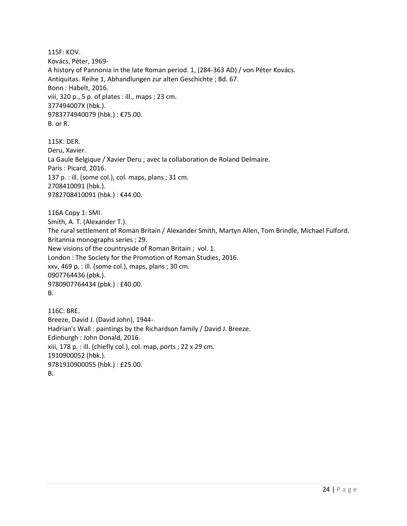115F: KOV. Kovács, Péter, 1969- A history of Pannonia in the late Roman period. 1, (284-363 AD) / von Péter Kovács. Antiquitas. Reihe 1, Abhandlungen zur alten Geschichte ; Bd. 67. Bonn : Habelt, 2016. viii, 320 p., 5 p. of plates : ill., maps ; 23 cm. 377494007X (hbk.). 9783774940079 (hbk.) : €75.00. B. or R.

115K: DER. Deru, Xavier. La Gaule Belgique / Xavier Deru ; avec la collaboration de Roland Delmaire. Paris : Picard, 2016. 137 p. : ill. (some col.), col. maps, plans ; 31 cm. 2708410091 (hbk.). 9782708410091 (hbk.) : €44.00.

116A Copy 1: SMI. Smith, A. T. (Alexander T.). The rural settlement of Roman Britain / Alexander Smith, Martyn Allen, Tom Brindle, Michael Fulford. Britannia monographs series ; 29. New visions of the countryside of Roman Britain ; vol. 1. London : The Society for the Promotion of Roman Studies, 2016. xxv, 469 p. : ill. (some col.), maps, plans ; 30 cm. 0907764436 (pbk.). 9780907764434 (pbk.) : £40.00. B.

116C: BRE. Breeze, David J. (David John), 1944- Hadrian's Wall : paintings by the Richardson family / David J. Breeze. Edinburgh : John Donald, 2016. xiii, 178 p. : ill. (chiefly col.), col. map, ports ; 22 x 29 cm. 1910900052 (hbk.). 9781910900055 (hbk.) : £25.00. B.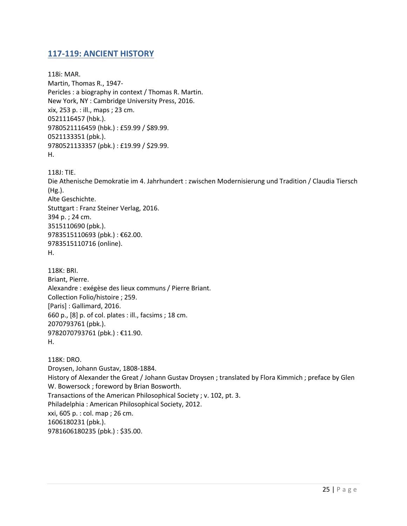## <span id="page-24-0"></span>**117-119: ANCIENT HISTORY**

118i: MAR. Martin, Thomas R., 1947- Pericles : a biography in context / Thomas R. Martin. New York, NY : Cambridge University Press, 2016. xix, 253 p. : ill., maps ; 23 cm. 0521116457 (hbk.). 9780521116459 (hbk.) : £59.99 / \$89.99. 0521133351 (pbk.). 9780521133357 (pbk.) : £19.99 / \$29.99. H.

118J: TIE.

Die Athenische Demokratie im 4. Jahrhundert : zwischen Modernisierung und Tradition / Claudia Tiersch (Hg.). Alte Geschichte. Stuttgart : Franz Steiner Verlag, 2016. 394 p. ; 24 cm. 3515110690 (pbk.). 9783515110693 (pbk.) : €62.00. 9783515110716 (online). H.

118K: BRI. Briant, Pierre. Alexandre : exégèse des lieux communs / Pierre Briant. Collection Folio/histoire ; 259. [Paris] : Gallimard, 2016. 660 p., [8] p. of col. plates : ill., facsims ; 18 cm. 2070793761 (pbk.). 9782070793761 (pbk.) : €11.90. H.

118K: DRO. Droysen, Johann Gustav, 1808-1884. History of Alexander the Great / Johann Gustav Droysen ; translated by Flora Kimmich ; preface by Glen W. Bowersock ; foreword by Brian Bosworth. Transactions of the American Philosophical Society ; v. 102, pt. 3. Philadelphia : American Philosophical Society, 2012. xxi, 605 p. : col. map ; 26 cm. 1606180231 (pbk.). 9781606180235 (pbk.) : \$35.00.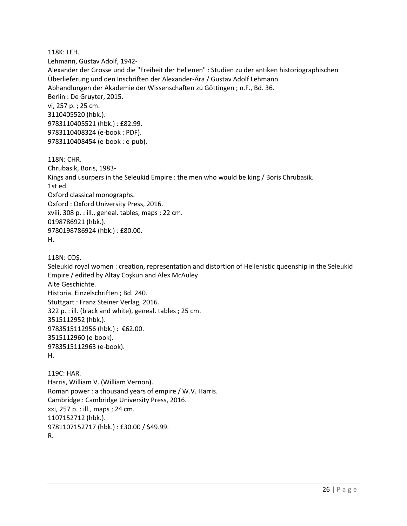118K: LEH. Lehmann, Gustav Adolf, 1942- Alexander der Grosse und die "Freiheit der Hellenen" : Studien zu der antiken historiographischen Überlieferung und den Inschriften der Alexander-Ära / Gustav Adolf Lehmann. Abhandlungen der Akademie der Wissenschaften zu Göttingen ; n.F., Bd. 36. Berlin : De Gruyter, 2015. vi, 257 p. ; 25 cm. 3110405520 (hbk.). 9783110405521 (hbk.) : £82.99. 9783110408324 (e-book : PDF). 9783110408454 (e-book : e-pub).

118N: CHR. Chrubasik, Boris, 1983- Kings and usurpers in the Seleukid Empire : the men who would be king / Boris Chrubasik. 1st ed. Oxford classical monographs. Oxford : Oxford University Press, 2016. xviii, 308 p. : ill., geneal. tables, maps ; 22 cm. 0198786921 (hbk.). 9780198786924 (hbk.) : £80.00. H.

118N: COŞ. Seleukid royal women : creation, representation and distortion of Hellenistic queenship in the Seleukid Empire / edited by Altay Coşkun and Alex McAuley. Alte Geschichte. Historia. Einzelschriften ; Bd. 240. Stuttgart : Franz Steiner Verlag, 2016. 322 p. : ill. (black and white), geneal. tables ; 25 cm. 3515112952 (hbk.). 9783515112956 (hbk.) : €62.00. 3515112960 (e-book). 9783515112963 (e-book). H.

119C: HAR. Harris, William V. (William Vernon). Roman power : a thousand years of empire / W.V. Harris. Cambridge : Cambridge University Press, 2016. xxi, 257 p. : ill., maps ; 24 cm. 1107152712 (hbk.). 9781107152717 (hbk.) : £30.00 / \$49.99. R.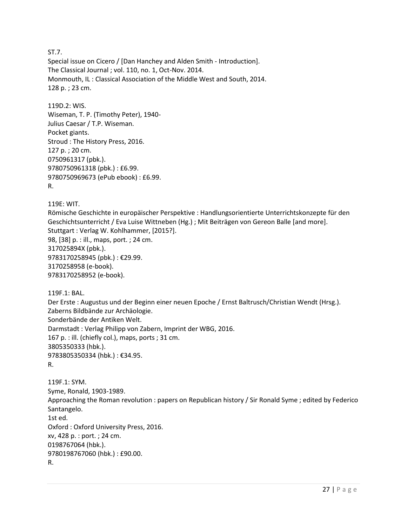ST.7.

Special issue on Cicero / [Dan Hanchey and Alden Smith - Introduction]. The Classical Journal ; vol. 110, no. 1, Oct-Nov. 2014. Monmouth, IL : Classical Association of the Middle West and South, 2014. 128 p. ; 23 cm.

119D.2: WIS. Wiseman, T. P. (Timothy Peter), 1940- Julius Caesar / T.P. Wiseman. Pocket giants. Stroud : The History Press, 2016. 127 p. ; 20 cm. 0750961317 (pbk.). 9780750961318 (pbk.) : £6.99. 9780750969673 (ePub ebook) : £6.99. R.

119E: WIT.

Römische Geschichte in europäischer Perspektive : Handlungsorientierte Unterrichtskonzepte für den Geschichtsunterricht / Eva Luise Wittneben (Hg.) ; Mit Beiträgen von Gereon Balle [and more]. Stuttgart : Verlag W. Kohlhammer, [2015?]. 98, [38] p. : ill., maps, port. ; 24 cm. 317025894X (pbk.). 9783170258945 (pbk.) : €29.99. 3170258958 (e-book). 9783170258952 (e-book).

119F.1: BAL.

Der Erste : Augustus und der Beginn einer neuen Epoche / Ernst Baltrusch/Christian Wendt (Hrsg.). Zaberns Bildbände zur Archäologie. Sonderbände der Antiken Welt. Darmstadt : Verlag Philipp von Zabern, Imprint der WBG, 2016. 167 p. : ill. (chiefly col.), maps, ports ; 31 cm. 3805350333 (hbk.). 9783805350334 (hbk.) : €34.95. R.

119F.1: SYM. Syme, Ronald, 1903-1989. Approaching the Roman revolution : papers on Republican history / Sir Ronald Syme ; edited by Federico Santangelo. 1st ed. Oxford : Oxford University Press, 2016. xv, 428 p. : port. ; 24 cm. 0198767064 (hbk.). 9780198767060 (hbk.) : £90.00. R.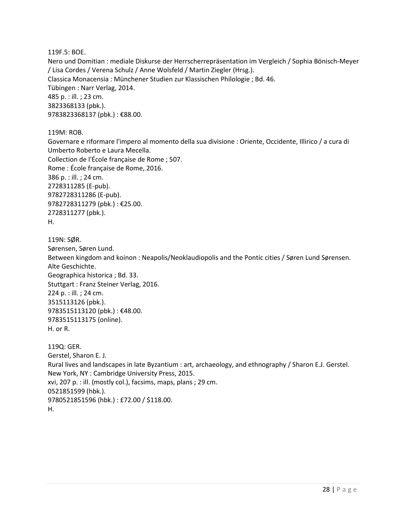119F.5: BOE.

Nero und Domitian : mediale Diskurse der Herrscherrepräsentation im Vergleich / Sophia Bönisch-Meyer / Lisa Cordes / Verena Schulz / Anne Wolsfeld / Martin Ziegler (Hrsg.). Classica Monacensia : Münchener Studien zur Klassischen Philologie ; Bd. 46. Tübingen : Narr Verlag, 2014. 485 p. : ill. ; 23 cm. 3823368133 (pbk.). 9783823368137 (pbk.): €88.00.

119M: ROB.

Governare e riformare l'impero al momento della sua divisione : Oriente, Occidente, Illirico / a cura di Umberto Roberto e Laura Mecella. Collection de l'École française de Rome ; 507. Rome : École française de Rome, 2016. 386 p. : ill. ; 24 cm. 2728311285 (E-pub). 9782728311286 (E-pub). 9782728311279 (pbk.) : €25.00. 2728311277 (pbk.). H.

119N: SØR. Sørensen, Søren Lund. Between kingdom and koinon : Neapolis/Neoklaudiopolis and the Pontic cities / Søren Lund Sørensen. Alte Geschichte. Geographica historica ; Bd. 33. Stuttgart : Franz Steiner Verlag, 2016. 224 p. : ill. ; 24 cm. 3515113126 (pbk.). 9783515113120 (pbk.) : €48.00. 9783515113175 (online). H. or R. 119Q: GER.

Gerstel, Sharon E. J. Rural lives and landscapes in late Byzantium : art, archaeology, and ethnography / Sharon E.J. Gerstel. New York, NY : Cambridge University Press, 2015. xvi, 207 p. : ill. (mostly col.), facsims, maps, plans ; 29 cm. 0521851599 (hbk.). 9780521851596 (hbk.) : £72.00 / \$118.00. H.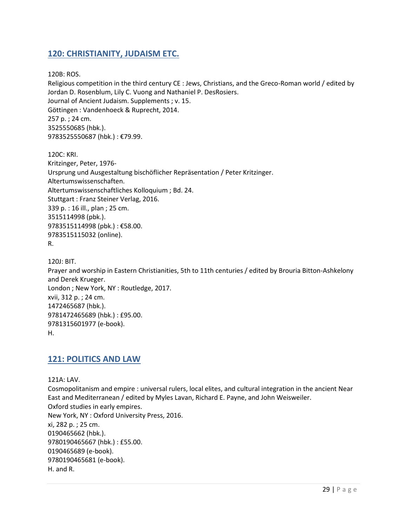# <span id="page-28-0"></span>**120: CHRISTIANITY, JUDAISM ETC.**

120B: ROS.

Religious competition in the third century CE : Jews, Christians, and the Greco-Roman world / edited by Jordan D. Rosenblum, Lily C. Vuong and Nathaniel P. DesRosiers. Journal of Ancient Judaism. Supplements ; v. 15. Göttingen : Vandenhoeck & Ruprecht, 2014. 257 p. ; 24 cm. 3525550685 (hbk.). 9783525550687 (hbk.) : €79.99.

120C: KRI. Kritzinger, Peter, 1976- Ursprung und Ausgestaltung bischöflicher Repräsentation / Peter Kritzinger. Altertumswissenschaften. Altertumswissenschaftliches Kolloquium ; Bd. 24. Stuttgart : Franz Steiner Verlag, 2016. 339 p. : 16 ill., plan ; 25 cm. 3515114998 (pbk.). 9783515114998 (pbk.) : €58.00. 9783515115032 (online). R.

```
120J: BIT.
```
Prayer and worship in Eastern Christianities, 5th to 11th centuries / edited by Brouria Bitton-Ashkelony and Derek Krueger. London ; New York, NY : Routledge, 2017. xvii, 312 p. ; 24 cm. 1472465687 (hbk.). 9781472465689 (hbk.) : £95.00. 9781315601977 (e-book). H.

## <span id="page-28-1"></span>**121: POLITICS AND LAW**

121A: LAV.

Cosmopolitanism and empire : universal rulers, local elites, and cultural integration in the ancient Near East and Mediterranean / edited by Myles Lavan, Richard E. Payne, and John Weisweiler. Oxford studies in early empires. New York, NY : Oxford University Press, 2016. xi, 282 p. ; 25 cm. 0190465662 (hbk.). 9780190465667 (hbk.) : £55.00. 0190465689 (e-book). 9780190465681 (e-book). H. and R.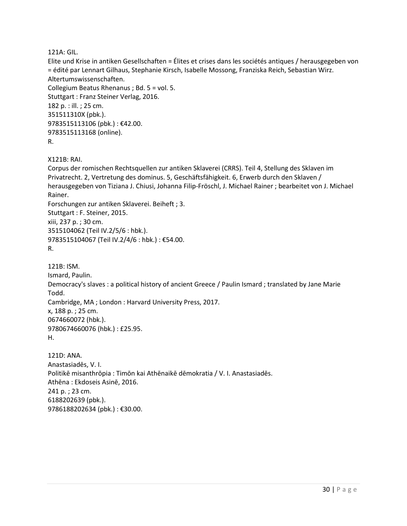121A: GIL.

Elite und Krise in antiken Gesellschaften = Élites et crises dans les sociétés antiques / herausgegeben von = édité par Lennart Gilhaus, Stephanie Kirsch, Isabelle Mossong, Franziska Reich, Sebastian Wirz. Altertumswissenschaften. Collegium Beatus Rhenanus ; Bd. 5 = vol. 5. Stuttgart : Franz Steiner Verlag, 2016. 182 p. : ill. ; 25 cm. 351511310X (pbk.). 9783515113106 (pbk.) : €42.00. 9783515113168 (online). R. X121B: RAI. Corpus der romischen Rechtsquellen zur antiken Sklaverei (CRRS). Teil 4, Stellung des Sklaven im Privatrecht. 2, Vertretung des dominus. 5, Geschäftsfähigkeit. 6, Erwerb durch den Sklaven / herausgegeben von Tiziana J. Chiusi, Johanna Filip-Fröschl, J. Michael Rainer ; bearbeitet von J. Michael Rainer. Forschungen zur antiken Sklaverei. Beiheft ; 3. Stuttgart : F. Steiner, 2015. xiii, 237 p. ; 30 cm. 3515104062 (Teil IV.2/5/6 : hbk.). 9783515104067 (Teil IV.2/4/6 : hbk.) : €54.00. R. 121B: ISM. Ismard, Paulin. Democracy's slaves : a political history of ancient Greece / Paulin Ismard ; translated by Jane Marie Todd. Cambridge, MA ; London : Harvard University Press, 2017. x, 188 p. ; 25 cm. 0674660072 (hbk.). 9780674660076 (hbk.) : £25.95. H. 121D: ANA. Anastasiadēs, V. I. Politikē misanthrōpia : Timōn kai Athēnaikē dēmokratia / V. I. Anastasiadēs. Athēna : Ekdoseis Asinē, 2016. 241 p. ; 23 cm. 6188202639 (pbk.). 9786188202634 (pbk.) : €30.00.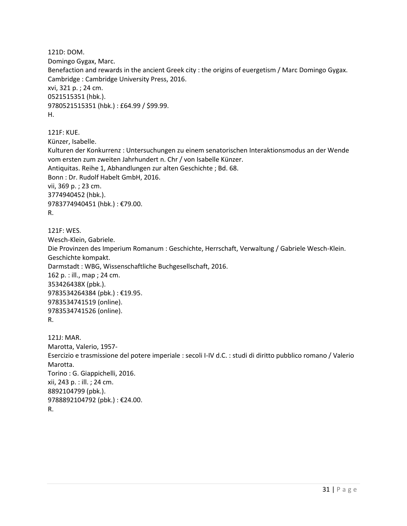121D: DOM. Domingo Gygax, Marc. Benefaction and rewards in the ancient Greek city : the origins of euergetism / Marc Domingo Gygax. Cambridge : Cambridge University Press, 2016. xvi, 321 p. ; 24 cm. 0521515351 (hbk.). 9780521515351 (hbk.) : £64.99 / \$99.99. H.

121F: KUE. Künzer, Isabelle. Kulturen der Konkurrenz : Untersuchungen zu einem senatorischen Interaktionsmodus an der Wende vom ersten zum zweiten Jahrhundert n. Chr / von Isabelle Künzer. Antiquitas. Reihe 1, Abhandlungen zur alten Geschichte ; Bd. 68. Bonn : Dr. Rudolf Habelt GmbH, 2016. vii, 369 p. ; 23 cm. 3774940452 (hbk.). 9783774940451 (hbk.) : €79.00. R.

121F: WES. Wesch-Klein, Gabriele. Die Provinzen des Imperium Romanum : Geschichte, Herrschaft, Verwaltung / Gabriele Wesch-Klein. Geschichte kompakt. Darmstadt : WBG, Wissenschaftliche Buchgesellschaft, 2016. 162 p. : ill., map ; 24 cm. 353426438X (pbk.). 9783534264384 (pbk.) : €19.95. 9783534741519 (online). 9783534741526 (online). R.

121J: MAR. Marotta, Valerio, 1957- Esercizio e trasmissione del potere imperiale : secoli I-IV d.C. : studi di diritto pubblico romano / Valerio Marotta. Torino : G. Giappichelli, 2016. xii, 243 p. : ill. ; 24 cm. 8892104799 (pbk.). 9788892104792 (pbk.) : €24.00. R.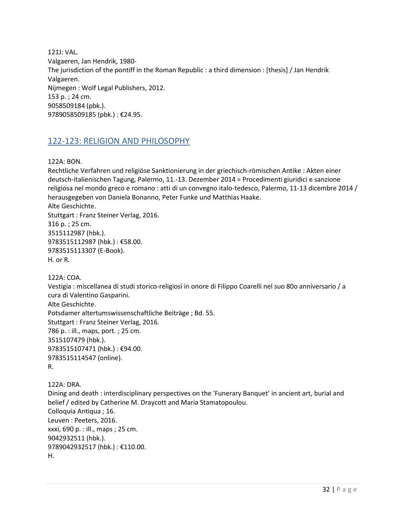121J: VAL. Valgaeren, Jan Hendrik, 1980- The jurisdiction of the pontiff in the Roman Republic : a third dimension : [thesis] / Jan Hendrik Valgaeren. Nijmegen : Wolf Legal Publishers, 2012. 153 p. ; 24 cm. 9058509184 (pbk.). 9789058509185 (pbk.) : €24.95.

## <span id="page-31-0"></span>122-123: RELIGION AND PHILOSOPHY

122A: BON.

Rechtliche Verfahren und religiöse Sanktionierung in der griechisch-römischen Antike : Akten einer deutsch-italienischen Tagung, Palermo, 11.-13. Dezember 2014 = Procedimenti giuridici e sanzione religiosa nel mondo greco e romano : atti di un convegno italo-tedesco, Palermo, 11-13 dicembre 2014 / herausgegeben von Daniela Bonanno, Peter Funke und Matthias Haake. Alte Geschichte. Stuttgart : Franz Steiner Verlag, 2016. 316 p. ; 25 cm. 3515112987 (hbk.). 9783515112987 (hbk.) : €58.00. 9783515113307 (E-Book). H. or R. 122A: COA.

Vestigia : miscellanea di studi storico-religiosi in onore di Filippo Coarelli nel suo 80o anniversario / a cura di Valentino Gasparini. Alte Geschichte. Potsdamer altertumswissenschaftliche Beiträge ; Bd. 55. Stuttgart : Franz Steiner Verlag, 2016. 786 p. : ill., maps, port. ; 25 cm. 3515107479 (hbk.). 9783515107471 (hbk.) : €94.00. 9783515114547 (online). R.

122A: DRA. Dining and death : interdisciplinary perspectives on the 'Funerary Banquet' in ancient art, burial and belief / edited by Catherine M. Draycott and Maria Stamatopoulou. Colloquia Antiqua ; 16. Leuven : Peeters, 2016. xxxi, 690 p. : ill., maps ; 25 cm. 9042932511 (hbk.). 9789042932517 (hbk.) : €110.00. H.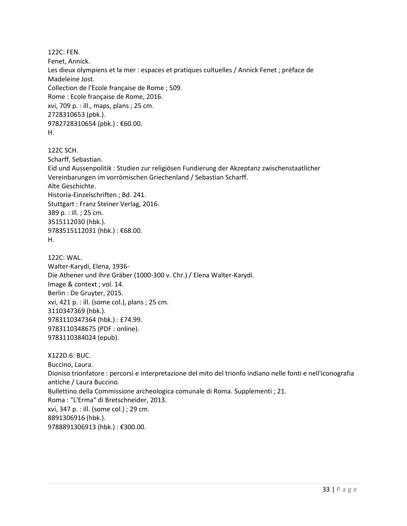122C: FEN. Fenet, Annick. Les dieux olympiens et la mer : espaces et pratiques cultuelles / Annick Fenet ; préface de Madeleine Jost. Collection de l'Ecole française de Rome ; 509. Rome : Ecole française de Rome, 2016. xvi, 709 p. : ill., maps, plans ; 25 cm. 2728310653 (pbk.). 9782728310654 (pbk.) : €60.00. H.

122C SCH. Scharff, Sebastian. Eid und Aussenpolitik : Studien zur religiösen Fundierung der Akzeptanz zwischenstaatlicher Vereinbarungen im vorrömischen Griechenland / Sebastian Scharff. Alte Geschichte. Historia-Einzelschriften ; Bd. 241. Stuttgart : Franz Steiner Verlag, 2016. 389 p. : ill. ; 25 cm. 3515112030 (hbk.). 9783515112031 (hbk.) : €68.00. H.

122C: WAL. Walter-Karydi, Elena, 1936- Die Athener und ihre Gräber (1000-300 v. Chr.) / Elena Walter-Karydi. Image & context ; vol. 14. Berlin : De Gruyter, 2015. xvi, 421 p. : ill. (some col.), plans ; 25 cm. 3110347369 (hbk.). 9783110347364 (hbk.) : £74.99. 9783110348675 (PDF : online). 9783110384024 (epub).

X122D.6: BUC. Buccino, Laura. Dioniso trionfatore : percorsi e interpretazione del mito del trionfo indiano nelle fonti e nell'iconografia antiche / Laura Buccino. Bullettino della Commissione archeologica comunale di Roma. Supplementi ; 21. Roma : "L'Erma" di Bretschneider, 2013. xvi, 347 p. : ill. (some col.) ; 29 cm. 8891306916 (hbk.). 9788891306913 (hbk.) : €300.00.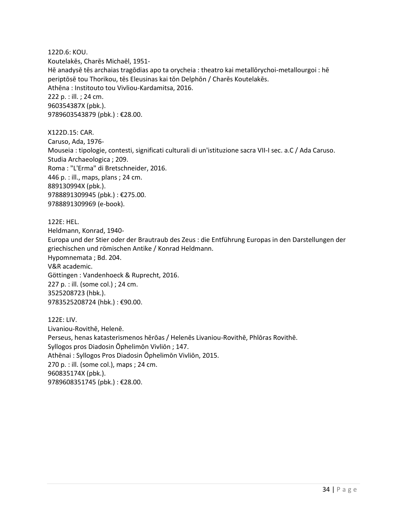122D.6: KOU. Koutelakēs, Charēs Michaēl, 1951- Hē anadysē tēs archaias tragōdias apo ta orycheia : theatro kai metallōrychoi-metallourgoi : hē periptōsē tou Thorikou, tēs Eleusinas kai tōn Delphōn / Charēs Koutelakēs. Athēna : Institouto tou Vivliou-Kardamitsa, 2016. 222 p. : ill. ; 24 cm. 960354387X (pbk.). 9789603543879 (pbk.) : €28.00.

X122D.15: CAR. Caruso, Ada, 1976- Mouseia : tipologie, contesti, significati culturali di un'istituzione sacra VII-I sec. a.C / Ada Caruso. Studia Archaeologica ; 209. Roma : "L'Erma" di Bretschneider, 2016. 446 p. : ill., maps, plans ; 24 cm. 889130994X (pbk.). 9788891309945 (pbk.) : €275.00. 9788891309969 (e-book).

122E: HEL. Heldmann, Konrad, 1940- Europa und der Stier oder der Brautraub des Zeus : die Entführung Europas in den Darstellungen der griechischen und römischen Antike / Konrad Heldmann. Hypomnemata ; Bd. 204. V&R academic. Göttingen : Vandenhoeck & Ruprecht, 2016. 227 p. : ill. (some col.) ; 24 cm. 3525208723 (hbk.). 9783525208724 (hbk.) : €90.00.

122E: LIV. Livaniou-Rovithē, Helenē. Perseus, henas katasterismenos hērōas / Helenēs Livaniou-Rovithē, Phlōras Rovithē. Syllogos pros Diadosin Ōphelimōn Vivliōn ; 147. Athēnai : Syllogos Pros Diadosin Ōphelimōn Vivliōn, 2015. 270 p. : ill. (some col.), maps ; 24 cm. 960835174X (pbk.). 9789608351745 (pbk.): €28.00.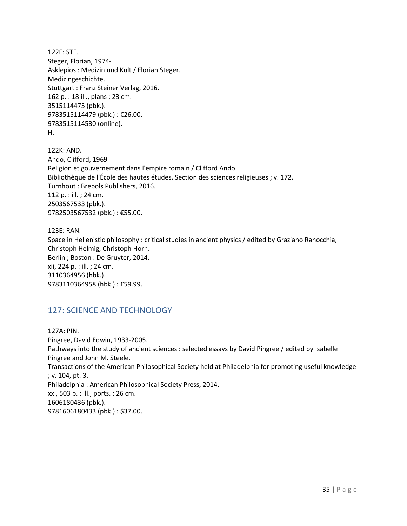122E: STE. Steger, Florian, 1974- Asklepios : Medizin und Kult / Florian Steger. Medizingeschichte. Stuttgart : Franz Steiner Verlag, 2016. 162 p. : 18 ill., plans ; 23 cm. 3515114475 (pbk.). 9783515114479 (pbk.) : €26.00. 9783515114530 (online). H.

122K: AND. Ando, Clifford, 1969- Religion et gouvernement dans l'empire romain / Clifford Ando. Bibliothèque de l'École des hautes études. Section des sciences religieuses ; v. 172. Turnhout : Brepols Publishers, 2016. 112 p. : ill. ; 24 cm. 2503567533 (pbk.). 9782503567532 (pbk.) : €55.00.

123E: RAN. Space in Hellenistic philosophy : critical studies in ancient physics / edited by Graziano Ranocchia, Christoph Helmig, Christoph Horn. Berlin ; Boston : De Gruyter, 2014. xii, 224 p. : ill. ; 24 cm. 3110364956 (hbk.). 9783110364958 (hbk.) : £59.99.

# <span id="page-34-0"></span>127: SCIENCE AND TECHNOLOGY

127A: PIN. Pingree, David Edwin, 1933-2005. Pathways into the study of ancient sciences : selected essays by David Pingree / edited by Isabelle Pingree and John M. Steele. Transactions of the American Philosophical Society held at Philadelphia for promoting useful knowledge ; v. 104, pt. 3. Philadelphia : American Philosophical Society Press, 2014. xxi, 503 p. : ill., ports. ; 26 cm. 1606180436 (pbk.). 9781606180433 (pbk.) : \$37.00.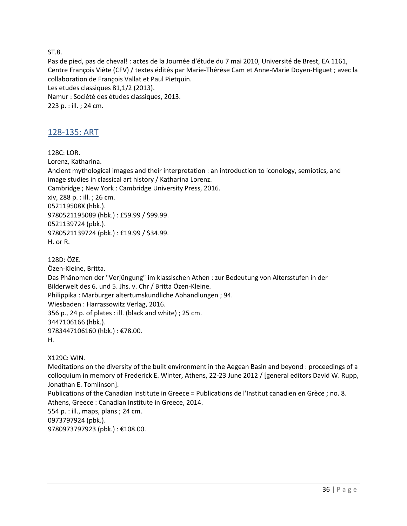ST.8.

Pas de pied, pas de cheval! : actes de la Journée d'étude du 7 mai 2010, Université de Brest, EA 1161, Centre François Viète (CFV) / textes édités par Marie-Thérèse Cam et Anne-Marie Doyen-Higuet ; avec la collaboration de François Vallat et Paul Pietquin. Les etudes classiques 81,1/2 (2013). Namur : Société des études classiques, 2013. 223 p. : ill. ; 24 cm.

## <span id="page-35-0"></span>128-135: ART

128C: LOR. Lorenz, Katharina. Ancient mythological images and their interpretation : an introduction to iconology, semiotics, and image studies in classical art history / Katharina Lorenz. Cambridge ; New York : Cambridge University Press, 2016. xiv, 288 p. : ill. ; 26 cm. 052119508X (hbk.). 9780521195089 (hbk.) : £59.99 / \$99.99. 0521139724 (pbk.). 9780521139724 (pbk.) : £19.99 / \$34.99. H. or R.

128D: ÖZE. Özen-Kleine, Britta. Das Phänomen der "Verjüngung" im klassischen Athen : zur Bedeutung von Altersstufen in der Bilderwelt des 6. und 5. Jhs. v. Chr / Britta Özen-Kleine. Philippika : Marburger altertumskundliche Abhandlungen ; 94. Wiesbaden : Harrassowitz Verlag, 2016. 356 p., 24 p. of plates : ill. (black and white) ; 25 cm. 3447106166 (hbk.). 9783447106160 (hbk.) : €78.00. H.

X129C: WIN.

Meditations on the diversity of the built environment in the Aegean Basin and beyond : proceedings of a colloquium in memory of Frederick E. Winter, Athens, 22-23 June 2012 / [general editors David W. Rupp, Jonathan E. Tomlinson].

Publications of the Canadian Institute in Greece = Publications de l'Institut canadien en Grèce ; no. 8. Athens, Greece : Canadian Institute in Greece, 2014. 554 p. : ill., maps, plans ; 24 cm. 0973797924 (pbk.).

9780973797923 (pbk.) : €108.00.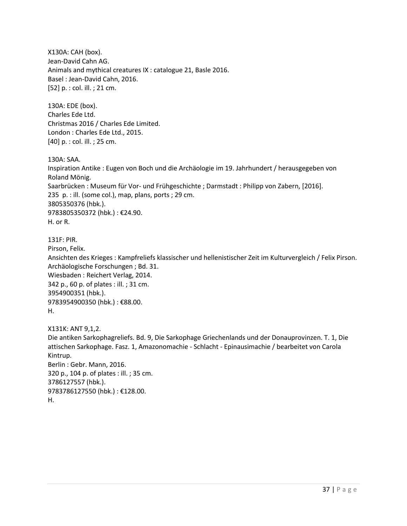X130A: CAH (box). Jean-David Cahn AG. Animals and mythical creatures IX : catalogue 21, Basle 2016. Basel : Jean-David Cahn, 2016. [52] p. : col. ill. ; 21 cm.

130A: EDE (box). Charles Ede Ltd. Christmas 2016 / Charles Ede Limited. London : Charles Ede Ltd., 2015. [40] p. : col. ill. ; 25 cm.

130A: SAA.

Inspiration Antike : Eugen von Boch und die Archäologie im 19. Jahrhundert / herausgegeben von Roland Mönig. Saarbrücken : Museum für Vor- und Frühgeschichte ; Darmstadt : Philipp von Zabern, [2016]. 235 p. : ill. (some col.), map, plans, ports ; 29 cm. 3805350376 (hbk.). 9783805350372 (hbk.) : €24.90. H. or R.

#### 131F: PIR.

Pirson, Felix.

Ansichten des Krieges : Kampfreliefs klassischer und hellenistischer Zeit im Kulturvergleich / Felix Pirson. Archäologische Forschungen ; Bd. 31.

Wiesbaden : Reichert Verlag, 2014. 342 p., 60 p. of plates : ill. ; 31 cm. 3954900351 (hbk.). 9783954900350 (hbk.) : €88.00.

## H.

X131K: ANT 9,1,2. Die antiken Sarkophagreliefs. Bd. 9, Die Sarkophage Griechenlands und der Donauprovinzen. T. 1, Die attischen Sarkophage. Fasz. 1, Amazonomachie - Schlacht - Epinausimachie / bearbeitet von Carola Kintrup. Berlin : Gebr. Mann, 2016. 320 p., 104 p. of plates : ill. ; 35 cm. 3786127557 (hbk.). 9783786127550 (hbk.) : €128.00. H.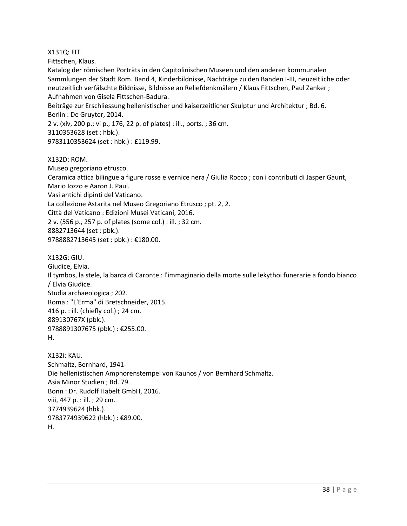X131Q: FIT.

Fittschen, Klaus.

Katalog der römischen Porträts in den Capitolinischen Museen und den anderen kommunalen Sammlungen der Stadt Rom. Band 4, Kinderbildnisse, Nachträge zu den Banden I-III, neuzeitliche oder neutzeitlich verfälschte Bildnisse, Bildnisse an Reliefdenkmälern / Klaus Fittschen, Paul Zanker ; Aufnahmen von Gisela Fittschen-Badura.

Beiträge zur Erschliessung hellenistischer und kaiserzeitlicher Skulptur und Architektur ; Bd. 6. Berlin : De Gruyter, 2014.

2 v. (xiv, 200 p.; vi p., 176, 22 p. of plates) : ill., ports. ; 36 cm. 3110353628 (set : hbk.). 9783110353624 (set : hbk.) : £119.99.

X132D: ROM.

Museo gregoriano etrusco.

Ceramica attica bilingue a figure rosse e vernice nera / Giulia Rocco ; con i contributi di Jasper Gaunt, Mario Iozzo e Aaron J. Paul.

Vasi antichi dipinti del Vaticano.

La collezione Astarita nel Museo Gregoriano Etrusco ; pt. 2, 2.

Città del Vaticano : Edizioni Musei Vaticani, 2016.

2 v. (556 p., 257 p. of plates (some col.) : ill. ; 32 cm.

8882713644 (set : pbk.).

9788882713645 (set : pbk.) : €180.00.

X132G: GIU.

Giudice, Elvia. Il tymbos, la stele, la barca di Caronte : l'immaginario della morte sulle lekythoi funerarie a fondo bianco / Elvia Giudice. Studia archaeologica ; 202. Roma : "L'Erma" di Bretschneider, 2015. 416 p. : ill. (chiefly col.) ; 24 cm. 889130767X (pbk.). 9788891307675 (pbk.) : €255.00. H.

X132i: KAU. Schmaltz, Bernhard, 1941- Die hellenistischen Amphorenstempel von Kaunos / von Bernhard Schmaltz. Asia Minor Studien ; Bd. 79. Bonn : Dr. Rudolf Habelt GmbH, 2016. viii, 447 p. : ill. ; 29 cm. 3774939624 (hbk.). 9783774939622 (hbk.) : €89.00. H.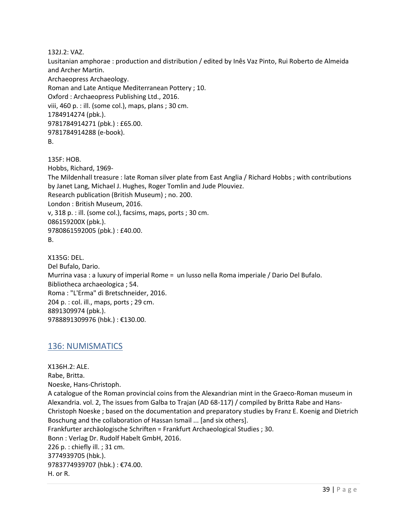132J.2: VAZ.

Lusitanian amphorae : production and distribution / edited by Inês Vaz Pinto, Rui Roberto de Almeida and Archer Martin. Archaeopress Archaeology. Roman and Late Antique Mediterranean Pottery ; 10. Oxford : Archaeopress Publishing Ltd., 2016. viii, 460 p. : ill. (some col.), maps, plans ; 30 cm. 1784914274 (pbk.). 9781784914271 (pbk.) : £65.00. 9781784914288 (e-book). B.

135F: HOB. Hobbs, Richard, 1969- The Mildenhall treasure : late Roman silver plate from East Anglia / Richard Hobbs ; with contributions by Janet Lang, Michael J. Hughes, Roger Tomlin and Jude Plouviez. Research publication (British Museum) ; no. 200. London : British Museum, 2016. v, 318 p. : ill. (some col.), facsims, maps, ports ; 30 cm. 086159200X (pbk.). 9780861592005 (pbk.) : £40.00. B.

X135G: DEL. Del Bufalo, Dario. Murrina vasa : a luxury of imperial Rome = un lusso nella Roma imperiale / Dario Del Bufalo. Bibliotheca archaeologica ; 54. Roma : "L'Erma" di Bretschneider, 2016. 204 p. : col. ill., maps, ports ; 29 cm. 8891309974 (pbk.). 9788891309976 (hbk.) : €130.00.

## <span id="page-38-0"></span>136: NUMISMATICS

X136H.2: ALE. Rabe, Britta. Noeske, Hans-Christoph. A catalogue of the Roman provincial coins from the Alexandrian mint in the Graeco-Roman museum in Alexandria. vol. 2, The issues from Galba to Trajan (AD 68-117) / compiled by Britta Rabe and Hans-Christoph Noeske ; based on the documentation and preparatory studies by Franz E. Koenig and Dietrich Boschung and the collaboration of Hassan Ismail ... [and six others]. Frankfurter archäologische Schriften = Frankfurt Archaeological Studies ; 30. Bonn : Verlag Dr. Rudolf Habelt GmbH, 2016. 226 p. : chiefly ill. ; 31 cm. 3774939705 (hbk.). 9783774939707 (hbk.) : €74.00. H. or R.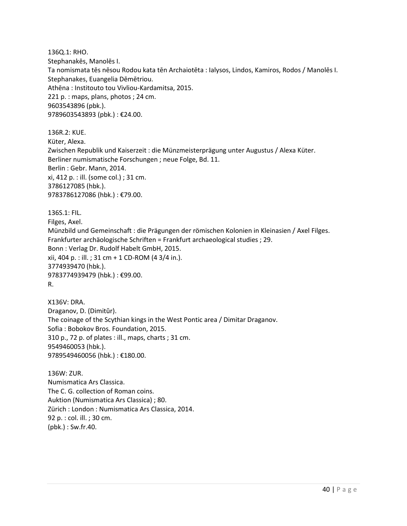136Q.1: RHO. Stephanakēs, Manolēs I. Ta nomismata tēs nēsou Rodou kata tēn Archaiotēta : Ialysos, Lindos, Kamiros, Rodos / Manolēs I. Stephanakes, Euangelia Dēmētriou. Athēna : Institouto tou Vivliou-Kardamitsa, 2015. 221 p. : maps, plans, photos ; 24 cm. 9603543896 (pbk.). 9789603543893 (pbk.) : €24.00.

136R.2: KUE. Küter, Alexa. Zwischen Republik und Kaiserzeit : die Münzmeisterprägung unter Augustus / Alexa Küter. Berliner numismatische Forschungen ; neue Folge, Bd. 11. Berlin : Gebr. Mann, 2014. xi, 412 p. : ill. (some col.) ; 31 cm. 3786127085 (hbk.). 9783786127086 (hbk.) : €79.00.

136S.1: FIL. Filges, Axel. Münzbild und Gemeinschaft : die Prägungen der römischen Kolonien in Kleinasien / Axel Filges. Frankfurter archäologische Schriften = Frankfurt archaeological studies ; 29. Bonn : Verlag Dr. Rudolf Habelt GmbH, 2015. xii, 404 p. : ill. ; 31 cm + 1 CD-ROM (4 3/4 in.). 3774939470 (hbk.). 9783774939479 (hbk.) : €99.00. R.

X136V: DRA. Draganov, D. (Dimitŭr). The coinage of the Scythian kings in the West Pontic area / Dimitar Draganov. Sofia : Bobokov Bros. Foundation, 2015. 310 p., 72 p. of plates : ill., maps, charts ; 31 cm. 9549460053 (hbk.). 9789549460056 (hbk.) : €180.00.

136W: ZUR. Numismatica Ars Classica. The C. G. collection of Roman coins. Auktion (Numismatica Ars Classica) ; 80. Zürich : London : Numismatica Ars Classica, 2014. 92 p. : col. ill. ; 30 cm. (pbk.) : Sw.fr.40.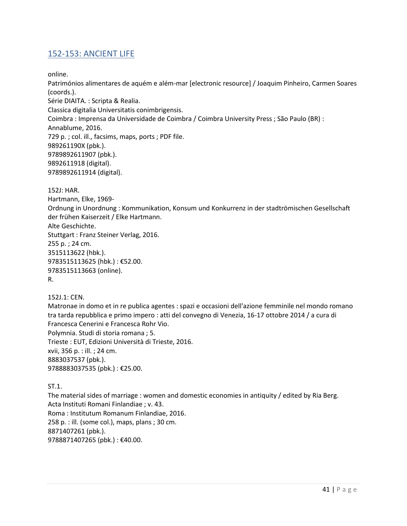# <span id="page-40-0"></span>152-153: ANCIENT LIFE

online.

Patrimónios alimentares de aquém e além-mar [electronic resource] / Joaquim Pinheiro, Carmen Soares (coords.).

Série DIAITA. : Scripta & Realia.

Classica digitalia Universitatis conimbrigensis.

Coimbra : Imprensa da Universidade de Coimbra / Coimbra University Press ; São Paulo (BR) :

Annablume, 2016.

729 p. ; col. ill., facsims, maps, ports ; PDF file.

989261190X (pbk.). 9789892611907 (pbk.).

9892611918 (digital).

9789892611914 (digital).

152J: HAR. Hartmann, Elke, 1969- Ordnung in Unordnung : Kommunikation, Konsum und Konkurrenz in der stadtrömischen Gesellschaft der frühen Kaiserzeit / Elke Hartmann. Alte Geschichte. Stuttgart : Franz Steiner Verlag, 2016. 255 p. ; 24 cm. 3515113622 (hbk.). 9783515113625 (hbk.) : €52.00. 9783515113663 (online). R.

152J.1: CEN.

Matronae in domo et in re publica agentes : spazi e occasioni dell'azione femminile nel mondo romano tra tarda repubblica e primo impero : atti del convegno di Venezia, 16-17 ottobre 2014 / a cura di Francesca Cenerini e Francesca Rohr Vio. Polymnia. Studi di storia romana ; 5. Trieste : EUT, Edizioni Università di Trieste, 2016. xvii, 356 p. : ill. ; 24 cm. 8883037537 (pbk.).

9788883037535 (pbk.) : €25.00.

ST.1. The material sides of marriage : women and domestic economies in antiquity / edited by Ria Berg. Acta Instituti Romani Finlandiae ; v. 43.

Roma : Institutum Romanum Finlandiae, 2016.

258 p. : ill. (some col.), maps, plans ; 30 cm.

8871407261 (pbk.).

9788871407265 (pbk.) : €40.00.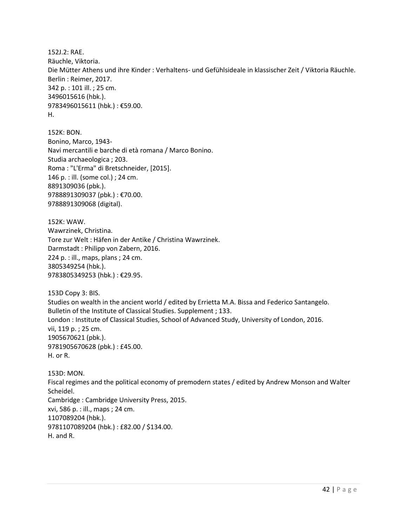152J.2: RAE. Räuchle, Viktoria. Die Mütter Athens und ihre Kinder : Verhaltens- und Gefühlsideale in klassischer Zeit / Viktoria Räuchle. Berlin : Reimer, 2017. 342 p. : 101 ill. ; 25 cm. 3496015616 (hbk.). 9783496015611 (hbk.) : €59.00. H.

152K: BON. Bonino, Marco, 1943- Navi mercantili e barche di età romana / Marco Bonino. Studia archaeologica ; 203. Roma : "L'Erma" di Bretschneider, [2015]. 146 p. : ill. (some col.) ; 24 cm. 8891309036 (pbk.). 9788891309037 (pbk.) : €70.00. 9788891309068 (digital).

152K: WAW. Wawrzinek, Christina. Tore zur Welt : Häfen in der Antike / Christina Wawrzinek. Darmstadt : Philipp von Zabern, 2016. 224 p. : ill., maps, plans ; 24 cm. 3805349254 (hbk.). 9783805349253 (hbk.) : €29.95.

153D Copy 3: BIS. Studies on wealth in the ancient world / edited by Errietta M.A. Bissa and Federico Santangelo. Bulletin of the Institute of Classical Studies. Supplement ; 133. London : Institute of Classical Studies, School of Advanced Study, University of London, 2016. vii, 119 p. ; 25 cm. 1905670621 (pbk.). 9781905670628 (pbk.) : £45.00. H. or R.

153D: MON. Fiscal regimes and the political economy of premodern states / edited by Andrew Monson and Walter Scheidel. Cambridge : Cambridge University Press, 2015. xvi, 586 p. : ill., maps ; 24 cm. 1107089204 (hbk.). 9781107089204 (hbk.) : £82.00 / \$134.00. H. and R.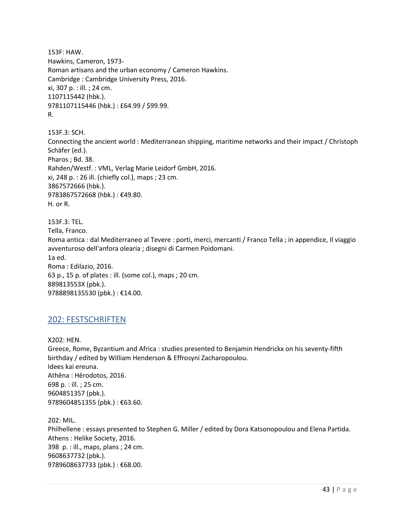153F: HAW. Hawkins, Cameron, 1973- Roman artisans and the urban economy / Cameron Hawkins. Cambridge : Cambridge University Press, 2016. xi, 307 p. : ill. ; 24 cm. 1107115442 (hbk.). 9781107115446 (hbk.) : £64.99 / \$99.99. R.

153F.3: SCH. Connecting the ancient world : Mediterranean shipping, maritime networks and their impact / Christoph Schäfer (ed.). Pharos ; Bd. 38. Rahden/Westf. : VML, Verlag Marie Leidorf GmbH, 2016. xi, 248 p. : 26 ill. (chiefly col.), maps ; 23 cm. 3867572666 (hbk.). 9783867572668 (hbk.) : €49.80. H. or R.

153F.3: TEL. Tella, Franco. Roma antica : dal Mediterraneo al Tevere : porti, merci, mercanti / Franco Tella ; in appendice, Il viaggio avventuroso dell'anfora olearia ; disegni di Carmen Poidomani. 1a ed. Roma : Edilazio, 2016. 63 p., 15 p. of plates : ill. (some col.), maps ; 20 cm. 889813553X (pbk.). 9788898135530 (pbk.) : €14.00.

## <span id="page-42-0"></span>202: FESTSCHRIFTEN

X202: HEN. Greece, Rome, Byzantium and Africa : studies presented to Benjamin Hendrickx on his seventy-fifth birthday / edited by William Henderson & Effrosyni Zacharopoulou. Idees kai ereuna. Athēna : Hērodotos, 2016. 698 p. : ill. ; 25 cm. 9604851357 (pbk.). 9789604851355 (pbk.): €63.60.

202: MIL. Philhellene : essays presented to Stephen G. Miller / edited by Dora Katsonopoulou and Elena Partida. Athens : Helike Society, 2016. 398 p. : ill., maps, plans ; 24 cm. 9608637732 (pbk.). 9789608637733 (pbk.) : €68.00.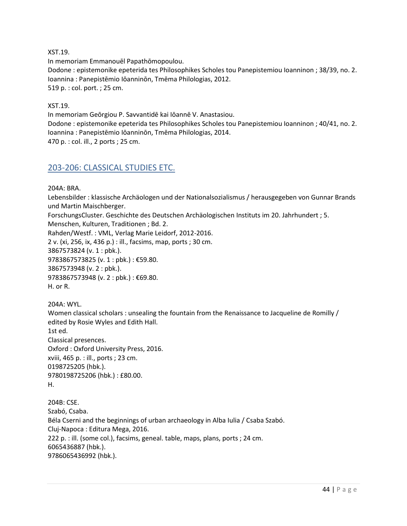XST.19.

In memoriam Emmanouēl Papathōmopoulou. Dodone : epistemonike epeterida tes Philosophikes Scholes tou Panepistemiou Ioanninon ; 38/39, no. 2. Ioannina : Panepistēmio Iōanninōn, Tmēma Philologias, 2012. 519 p. : col. port. ; 25 cm.

XST.19.

In memoriam Geōrgiou P. Savvantidē kai Iōannē V. Anastasiou. Dodone : epistemonike epeterida tes Philosophikes Scholes tou Panepistemiou Ioanninon ; 40/41, no. 2. Ioannina : Panepistēmio Iōanninōn, Tmēma Philologias, 2014. 470 p. : col. ill., 2 ports ; 25 cm.

## <span id="page-43-0"></span>203-206: CLASSICAL STUDIES ETC.

204A: BRA.

Lebensbilder : klassische Archäologen und der Nationalsozialismus / herausgegeben von Gunnar Brands und Martin Maischberger.

ForschungsCluster. Geschichte des Deutschen Archäologischen Instituts im 20. Jahrhundert ; 5.

Menschen, Kulturen, Traditionen ; Bd. 2.

Rahden/Westf. : VML, Verlag Marie Leidorf, 2012-2016.

2 v. (xi, 256, ix, 436 p.) : ill., facsims, map, ports ; 30 cm.

3867573824 (v. 1 : pbk.).

9783867573825 (v. 1 : pbk.) : €59.80.

3867573948 (v. 2 : pbk.).

9783867573948 (v. 2 : pbk.) : €69.80.

H. or R.

204A: WYL. Women classical scholars : unsealing the fountain from the Renaissance to Jacqueline de Romilly / edited by Rosie Wyles and Edith Hall. 1st ed. Classical presences. Oxford : Oxford University Press, 2016. xviii, 465 p. : ill., ports ; 23 cm. 0198725205 (hbk.). 9780198725206 (hbk.) : £80.00. H.

204B: CSE. Szabó, Csaba. Béla Cserni and the beginnings of urban archaeology in Alba Iulia / Csaba Szabó. Cluj-Napoca : Editura Mega, 2016. 222 p. : ill. (some col.), facsims, geneal. table, maps, plans, ports ; 24 cm. 6065436887 (hbk.). 9786065436992 (hbk.).